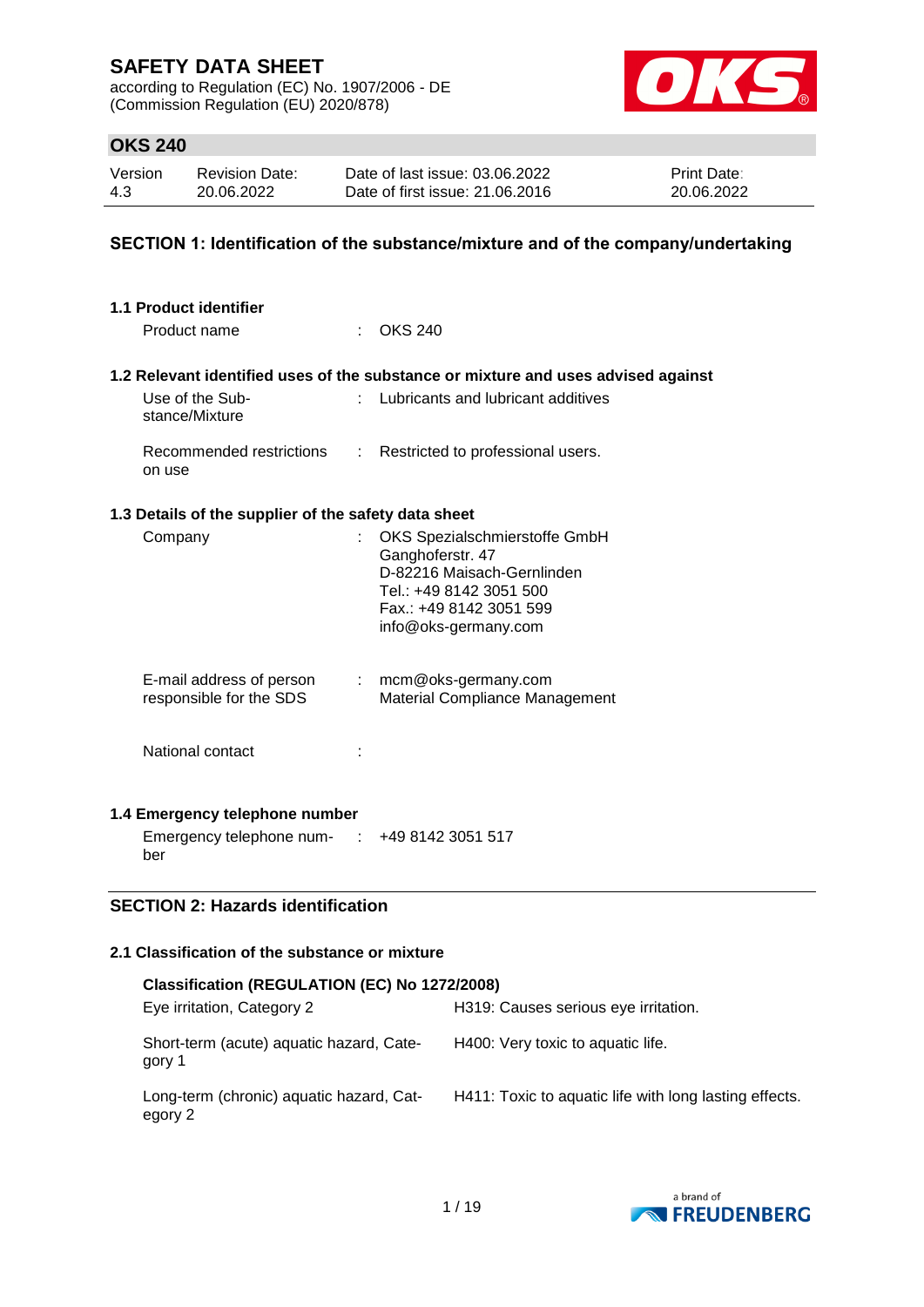according to Regulation (EC) No. 1907/2006 - DE (Commission Regulation (EU) 2020/878)



# **OKS 240**

| Version | <b>Revision Date:</b> | Date of last issue: 03.06.2022  | <b>Print Date:</b> |
|---------|-----------------------|---------------------------------|--------------------|
| 4.3     | 20.06.2022            | Date of first issue: 21.06.2016 | 20.06.2022         |

### **SECTION 1: Identification of the substance/mixture and of the company/undertaking**

| 1.1 Product identifier                               |                               |                                                                                                                                                               |  |  |  |
|------------------------------------------------------|-------------------------------|---------------------------------------------------------------------------------------------------------------------------------------------------------------|--|--|--|
| Product name                                         |                               | <b>OKS 240</b>                                                                                                                                                |  |  |  |
|                                                      |                               | 1.2 Relevant identified uses of the substance or mixture and uses advised against                                                                             |  |  |  |
| Use of the Sub-<br>stance/Mixture                    | ÷                             | Lubricants and lubricant additives                                                                                                                            |  |  |  |
| Recommended restrictions<br>on use                   |                               | : Restricted to professional users.                                                                                                                           |  |  |  |
| 1.3 Details of the supplier of the safety data sheet |                               |                                                                                                                                                               |  |  |  |
| Company                                              |                               | OKS Spezialschmierstoffe GmbH<br>Ganghoferstr. 47<br>D-82216 Maisach-Gernlinden<br>Tel.: +49 8142 3051 500<br>Fax.: +49 8142 3051 599<br>info@oks-germany.com |  |  |  |
| E-mail address of person<br>responsible for the SDS  | $\mathcal{L}^{\mathcal{L}}$ . | mcm@oks-germany.com<br>Material Compliance Management                                                                                                         |  |  |  |
| National contact                                     |                               |                                                                                                                                                               |  |  |  |
| 1.4 Emergency telephone number                       |                               |                                                                                                                                                               |  |  |  |
| Emergency telephone num-<br>ber                      | <b>STATISTICS</b>             | +49 8142 3051 517                                                                                                                                             |  |  |  |
| <b>SECTION 2: Hazards identification</b>             |                               |                                                                                                                                                               |  |  |  |

# **2.1 Classification of the substance or mixture**

| Classification (REGULATION (EC) No 1272/2008)       |                                                        |
|-----------------------------------------------------|--------------------------------------------------------|
| Eye irritation, Category 2                          | H319: Causes serious eye irritation.                   |
| Short-term (acute) aquatic hazard, Cate-<br>gory 1  | H400: Very toxic to aquatic life.                      |
| Long-term (chronic) aquatic hazard, Cat-<br>egory 2 | H411: Toxic to aquatic life with long lasting effects. |

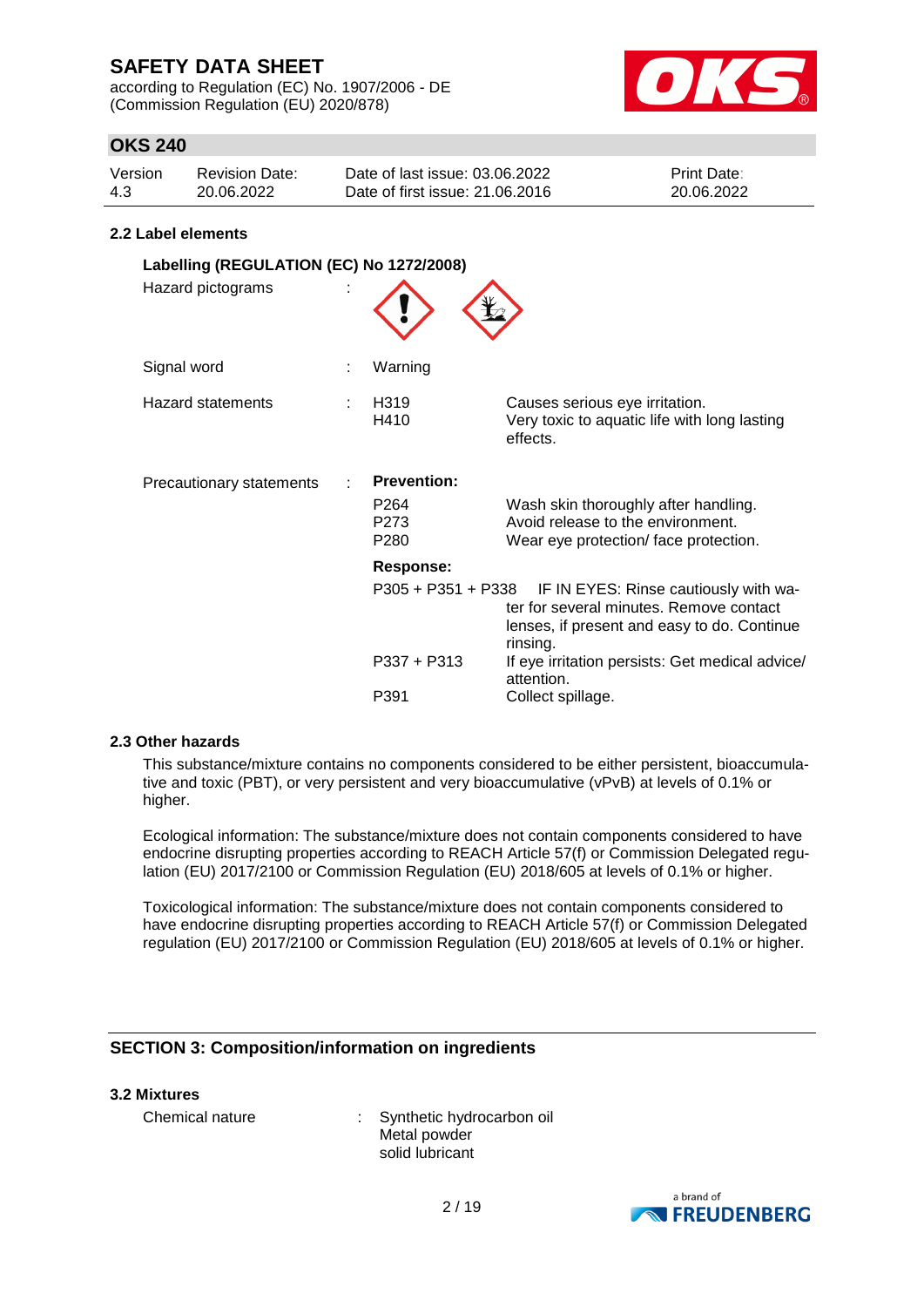according to Regulation (EC) No. 1907/2006 - DE (Commission Regulation (EU) 2020/878)



# **OKS 240**

| Version | Revision Date: | Date of last issue: 03.06.2022  | <b>Print Date:</b> |
|---------|----------------|---------------------------------|--------------------|
| 4.3     | 20.06.2022     | Date of first issue: 21,06,2016 | 20.06.2022         |

#### **2.2 Label elements**

| Labelling (REGULATION (EC) No 1272/2008)<br>Hazard pictograms |                                                                    |                                                                                                                                                                                                                                                      |
|---------------------------------------------------------------|--------------------------------------------------------------------|------------------------------------------------------------------------------------------------------------------------------------------------------------------------------------------------------------------------------------------------------|
| Signal word                                                   | Warning                                                            |                                                                                                                                                                                                                                                      |
| <b>Hazard statements</b>                                      | H319<br>H410                                                       | Causes serious eye irritation.<br>Very toxic to aquatic life with long lasting<br>effects.                                                                                                                                                           |
| Precautionary statements                                      | <b>Prevention:</b><br>P <sub>264</sub><br>P273<br>P <sub>280</sub> | Wash skin thoroughly after handling.<br>Avoid release to the environment.<br>Wear eye protection/face protection.                                                                                                                                    |
|                                                               | <b>Response:</b><br>$P337 + P313$<br>P391                          | P305 + P351 + P338 IF IN EYES: Rinse cautiously with wa-<br>ter for several minutes. Remove contact<br>lenses, if present and easy to do. Continue<br>rinsing.<br>If eye irritation persists: Get medical advice/<br>attention.<br>Collect spillage. |

### **2.3 Other hazards**

This substance/mixture contains no components considered to be either persistent, bioaccumulative and toxic (PBT), or very persistent and very bioaccumulative (vPvB) at levels of 0.1% or higher.

Ecological information: The substance/mixture does not contain components considered to have endocrine disrupting properties according to REACH Article 57(f) or Commission Delegated regulation (EU) 2017/2100 or Commission Regulation (EU) 2018/605 at levels of 0.1% or higher.

Toxicological information: The substance/mixture does not contain components considered to have endocrine disrupting properties according to REACH Article 57(f) or Commission Delegated regulation (EU) 2017/2100 or Commission Regulation (EU) 2018/605 at levels of 0.1% or higher.

### **SECTION 3: Composition/information on ingredients**

#### **3.2 Mixtures**

Chemical nature : Synthetic hydrocarbon oil Metal powder solid lubricant

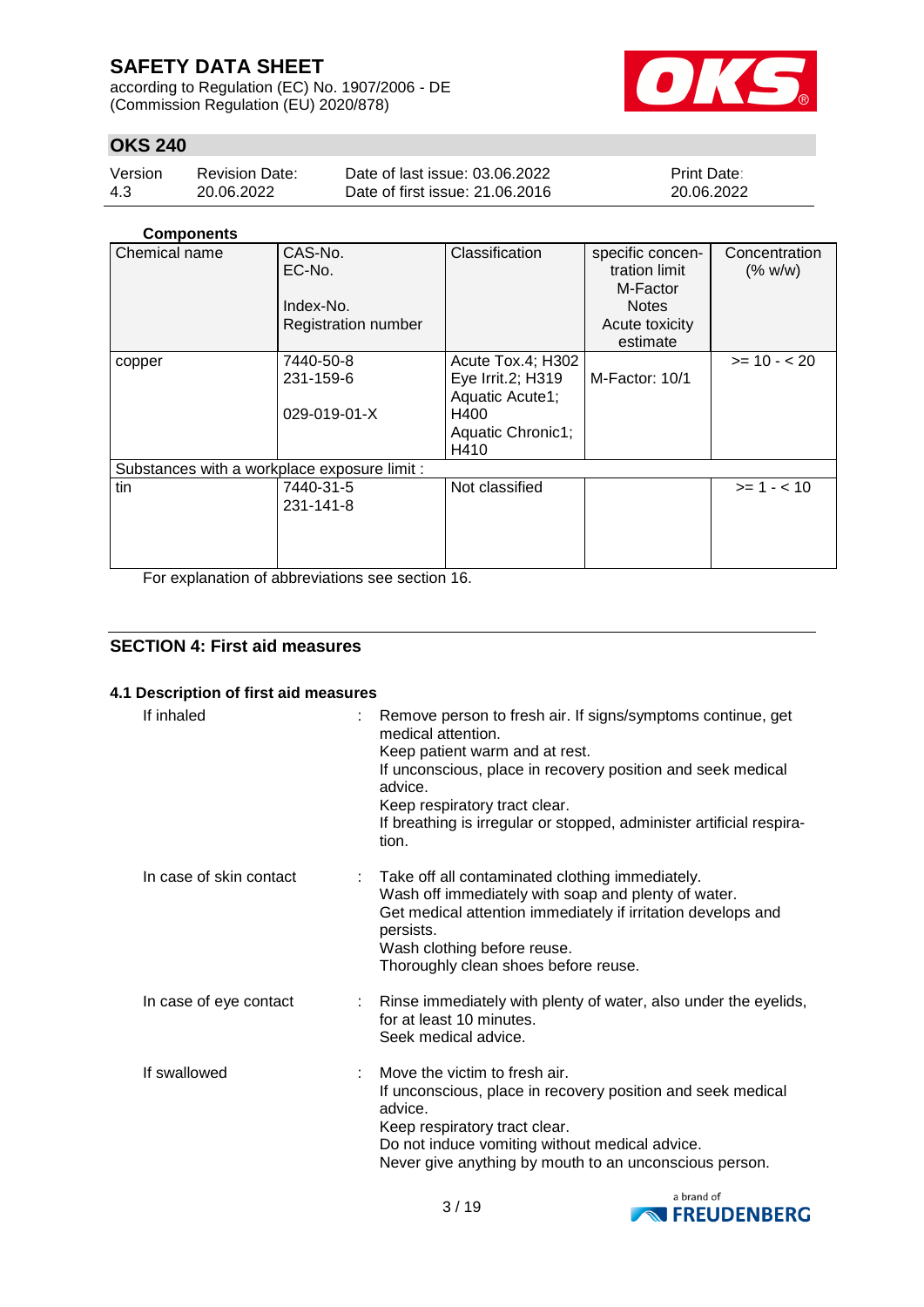according to Regulation (EC) No. 1907/2006 - DE (Commission Regulation (EU) 2020/878)



# **OKS 240**

| Version | Revision Date: | Date of last issue: 03.06.2022  | <b>Print Date:</b> |
|---------|----------------|---------------------------------|--------------------|
| 4.3     | 20.06.2022     | Date of first issue: 21,06,2016 | 20.06.2022         |

### **Components**

| Chemical name<br>CAS-No.<br>Classification<br>specific concen-<br>EC-No.<br>tration limit<br>(% w/w)<br>M-Factor<br>Index-No.<br><b>Notes</b><br><b>Registration number</b><br>Acute toxicity<br>estimate<br>7440-50-8<br>Acute Tox.4; H302<br>copper<br>Eye Irrit.2; H319<br>231-159-6<br>M-Factor: 10/1<br>Aquatic Acute1;<br>029-019-01-X<br>H400<br>Aquatic Chronic1;<br>H410<br>Substances with a workplace exposure limit : |  |  |               |
|-----------------------------------------------------------------------------------------------------------------------------------------------------------------------------------------------------------------------------------------------------------------------------------------------------------------------------------------------------------------------------------------------------------------------------------|--|--|---------------|
|                                                                                                                                                                                                                                                                                                                                                                                                                                   |  |  | Concentration |
|                                                                                                                                                                                                                                                                                                                                                                                                                                   |  |  |               |
|                                                                                                                                                                                                                                                                                                                                                                                                                                   |  |  |               |
|                                                                                                                                                                                                                                                                                                                                                                                                                                   |  |  |               |
|                                                                                                                                                                                                                                                                                                                                                                                                                                   |  |  |               |
|                                                                                                                                                                                                                                                                                                                                                                                                                                   |  |  | $>= 10 - 20$  |
|                                                                                                                                                                                                                                                                                                                                                                                                                                   |  |  |               |
|                                                                                                                                                                                                                                                                                                                                                                                                                                   |  |  |               |
|                                                                                                                                                                                                                                                                                                                                                                                                                                   |  |  |               |
|                                                                                                                                                                                                                                                                                                                                                                                                                                   |  |  |               |
|                                                                                                                                                                                                                                                                                                                                                                                                                                   |  |  |               |
|                                                                                                                                                                                                                                                                                                                                                                                                                                   |  |  |               |
| 7440-31-5<br>Not classified<br>$>= 1 - < 10$<br>tin                                                                                                                                                                                                                                                                                                                                                                               |  |  |               |
| 231-141-8                                                                                                                                                                                                                                                                                                                                                                                                                         |  |  |               |
|                                                                                                                                                                                                                                                                                                                                                                                                                                   |  |  |               |
|                                                                                                                                                                                                                                                                                                                                                                                                                                   |  |  |               |
| .<br>$\cdots$ $\cdots$                                                                                                                                                                                                                                                                                                                                                                                                            |  |  |               |

For explanation of abbreviations see section 16.

### **SECTION 4: First aid measures**

#### **4.1 Description of first aid measures**

| If inhaled              | Remove person to fresh air. If signs/symptoms continue, get<br>medical attention.<br>Keep patient warm and at rest.<br>If unconscious, place in recovery position and seek medical<br>advice.<br>Keep respiratory tract clear.<br>If breathing is irregular or stopped, administer artificial respira-<br>tion. |
|-------------------------|-----------------------------------------------------------------------------------------------------------------------------------------------------------------------------------------------------------------------------------------------------------------------------------------------------------------|
| In case of skin contact | Take off all contaminated clothing immediately.<br>Wash off immediately with soap and plenty of water.<br>Get medical attention immediately if irritation develops and<br>persists.<br>Wash clothing before reuse.<br>Thoroughly clean shoes before reuse.                                                      |
| In case of eye contact  | : Rinse immediately with plenty of water, also under the eyelids,<br>for at least 10 minutes.<br>Seek medical advice.                                                                                                                                                                                           |
| If swallowed            | Move the victim to fresh air.<br>If unconscious, place in recovery position and seek medical<br>advice.<br>Keep respiratory tract clear.<br>Do not induce vomiting without medical advice.<br>Never give anything by mouth to an unconscious person.                                                            |

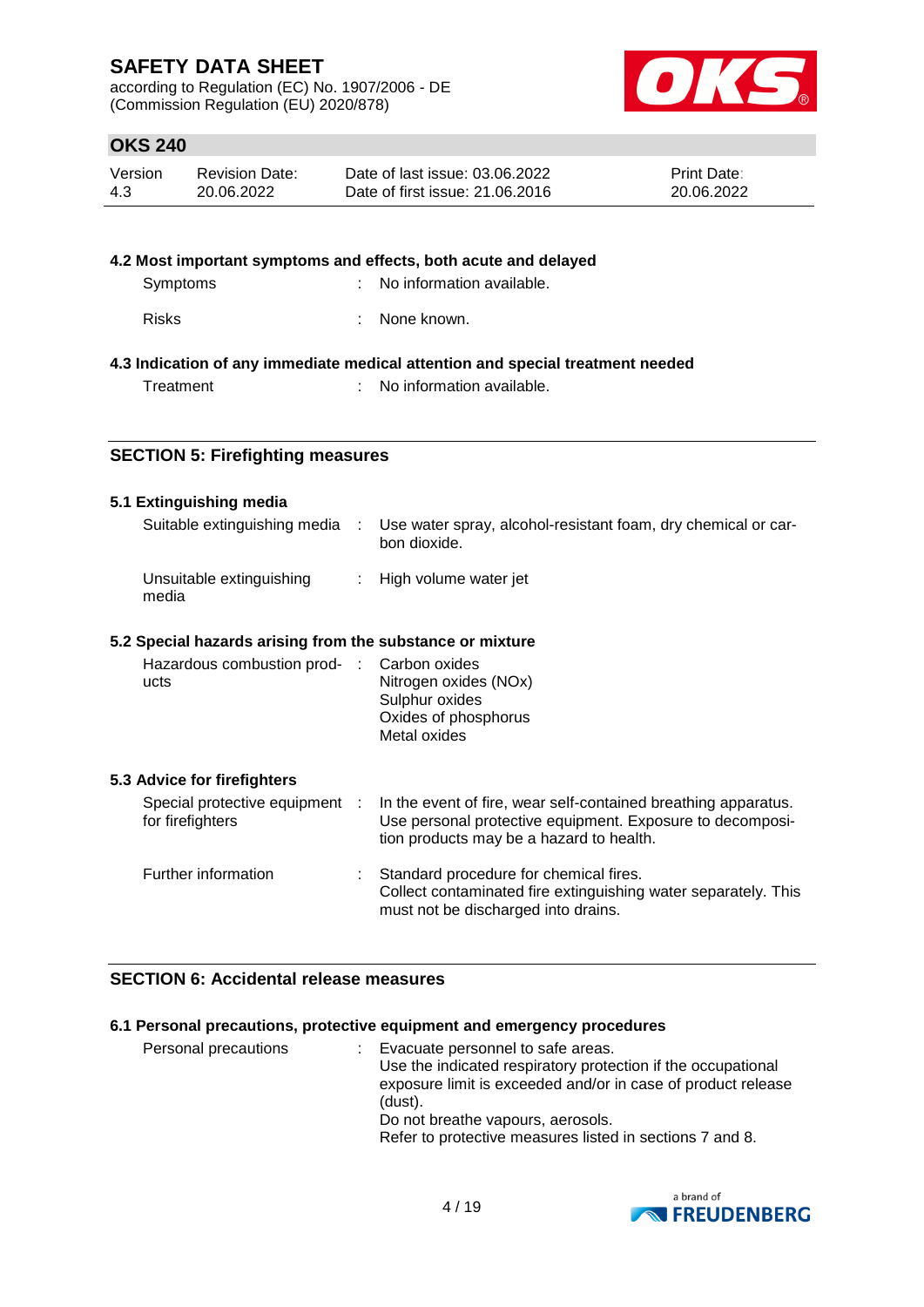according to Regulation (EC) No. 1907/2006 - DE (Commission Regulation (EU) 2020/878)



# **OKS 240**

| Version | <b>Revision Date:</b> | Date of last issue: 03.06.2022  | Print Date: |
|---------|-----------------------|---------------------------------|-------------|
| 4.3     | 20.06.2022            | Date of first issue: 21,06,2016 | 20.06.2022  |

### **4.2 Most important symptoms and effects, both acute and delayed** Symptoms : No information available.

Risks : None known.

### **4.3 Indication of any immediate medical attention and special treatment needed**

Treatment : No information available.

### **SECTION 5: Firefighting measures**

### **5.1 Extinguishing media**

| Suitable extinguishing media                              | $\sim$ 100 $\sim$         | Use water spray, alcohol-resistant foam, dry chemical or car-<br>bon dioxide.                                                                                           |
|-----------------------------------------------------------|---------------------------|-------------------------------------------------------------------------------------------------------------------------------------------------------------------------|
| Unsuitable extinguishing<br>media                         | $\mathbb{Z}^{\mathbb{Z}}$ | High volume water jet                                                                                                                                                   |
| 5.2 Special hazards arising from the substance or mixture |                           |                                                                                                                                                                         |
| Hazardous combustion prod- :<br>ucts                      |                           | Carbon oxides<br>Nitrogen oxides (NOx)<br>Sulphur oxides<br>Oxides of phosphorus<br>Metal oxides                                                                        |
| 5.3 Advice for firefighters                               |                           |                                                                                                                                                                         |
| Special protective equipment :<br>for firefighters        |                           | In the event of fire, wear self-contained breathing apparatus.<br>Use personal protective equipment. Exposure to decomposi-<br>tion products may be a hazard to health. |
| Further information                                       |                           | Standard procedure for chemical fires.<br>Collect contaminated fire extinguishing water separately. This<br>must not be discharged into drains.                         |

### **SECTION 6: Accidental release measures**

### **6.1 Personal precautions, protective equipment and emergency procedures**

| Personal precautions | : Evacuate personnel to safe areas.                          |
|----------------------|--------------------------------------------------------------|
|                      | Use the indicated respiratory protection if the occupational |
|                      | exposure limit is exceeded and/or in case of product release |
|                      | (dust).                                                      |
|                      | Do not breathe vapours, aerosols.                            |
|                      | Refer to protective measures listed in sections 7 and 8.     |

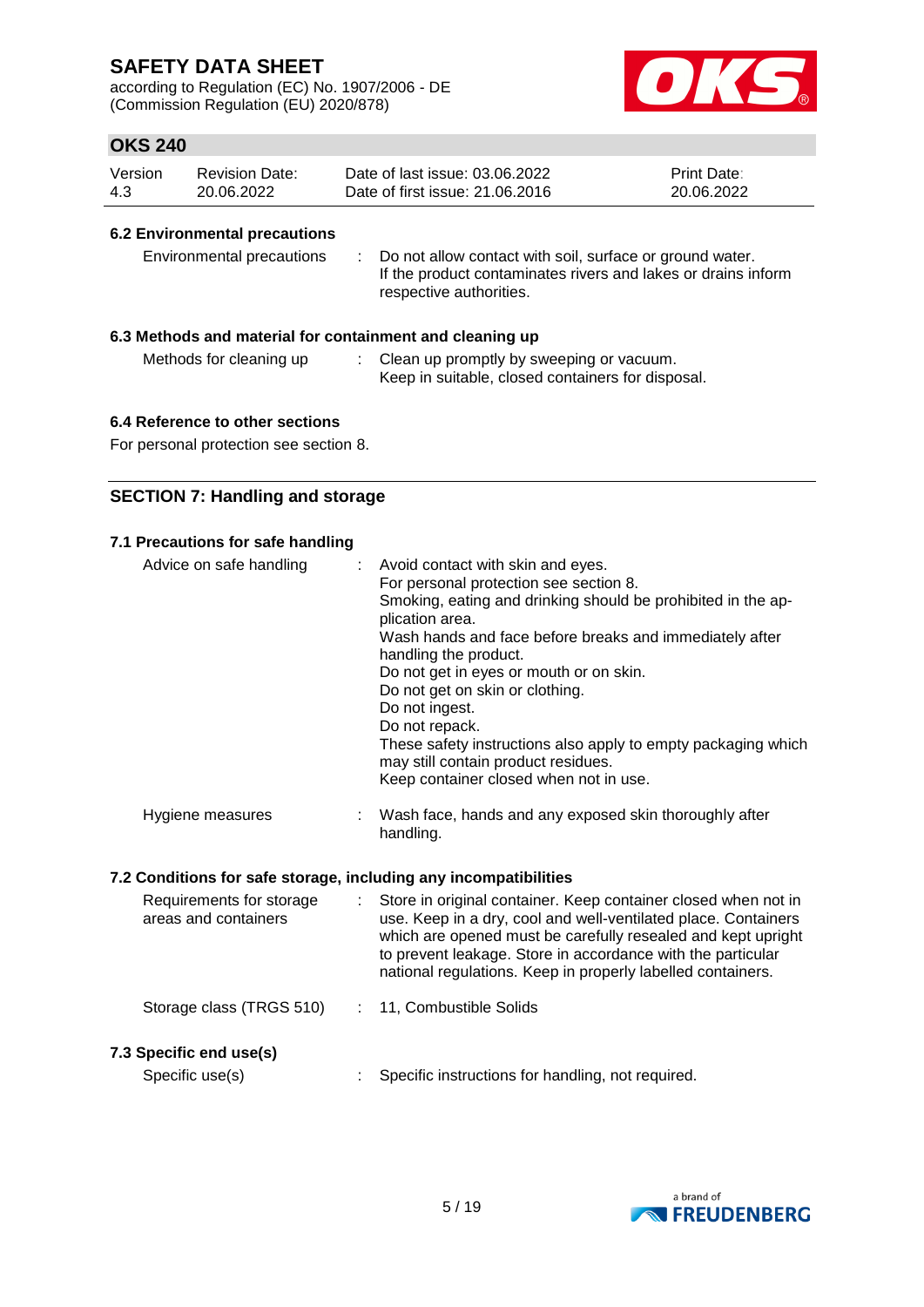according to Regulation (EC) No. 1907/2006 - DE (Commission Regulation (EU) 2020/878)



# **OKS 240**

| Version | Revision Date: | Date of last issue: 03.06.2022  | <b>Print Date:</b> |
|---------|----------------|---------------------------------|--------------------|
| 4.3     | 20.06.2022     | Date of first issue: 21,06,2016 | 20.06.2022         |

### **6.2 Environmental precautions**

| Environmental precautions |  | : Do not allow contact with soil, surface or ground water.<br>If the product contaminates rivers and lakes or drains inform<br>respective authorities. |
|---------------------------|--|--------------------------------------------------------------------------------------------------------------------------------------------------------|
|---------------------------|--|--------------------------------------------------------------------------------------------------------------------------------------------------------|

### **6.3 Methods and material for containment and cleaning up**

| Methods for cleaning up | Clean up promptly by sweeping or vacuum.          |
|-------------------------|---------------------------------------------------|
|                         | Keep in suitable, closed containers for disposal. |

### **6.4 Reference to other sections**

For personal protection see section 8.

# **SECTION 7: Handling and storage**

| 7.1 Precautions for safe handling                                |   |                                                                                                                                                                                                                                                                                                                                                                                                                                                                                                                        |
|------------------------------------------------------------------|---|------------------------------------------------------------------------------------------------------------------------------------------------------------------------------------------------------------------------------------------------------------------------------------------------------------------------------------------------------------------------------------------------------------------------------------------------------------------------------------------------------------------------|
| Advice on safe handling                                          | ÷ | Avoid contact with skin and eyes.<br>For personal protection see section 8.<br>Smoking, eating and drinking should be prohibited in the ap-<br>plication area.<br>Wash hands and face before breaks and immediately after<br>handling the product.<br>Do not get in eyes or mouth or on skin.<br>Do not get on skin or clothing.<br>Do not ingest.<br>Do not repack.<br>These safety instructions also apply to empty packaging which<br>may still contain product residues.<br>Keep container closed when not in use. |
| Hygiene measures                                                 |   | Wash face, hands and any exposed skin thoroughly after<br>handling.                                                                                                                                                                                                                                                                                                                                                                                                                                                    |
| 7.2 Conditions for safe storage, including any incompatibilities |   |                                                                                                                                                                                                                                                                                                                                                                                                                                                                                                                        |
| Requirements for storage<br>arooo and containera                 |   | : Store in original container. Keep container closed when not in<br>usa Kasa in a dru sool and wall ventileted place. Containers                                                                                                                                                                                                                                                                                                                                                                                       |

| areas and containers                       |  | use. Keep in a dry, cool and well-ventilated place. Containers<br>which are opened must be carefully resealed and kept upright<br>to prevent leakage. Store in accordance with the particular<br>national regulations. Keep in properly labelled containers. |
|--------------------------------------------|--|--------------------------------------------------------------------------------------------------------------------------------------------------------------------------------------------------------------------------------------------------------------|
| Storage class (TRGS 510)                   |  | : 11, Combustible Solids                                                                                                                                                                                                                                     |
| 7.3 Specific end use(s)<br>0.4.411.0111.01 |  | . On a affiliation of a market and a state of the contract of the state of the state of the state of t                                                                                                                                                       |

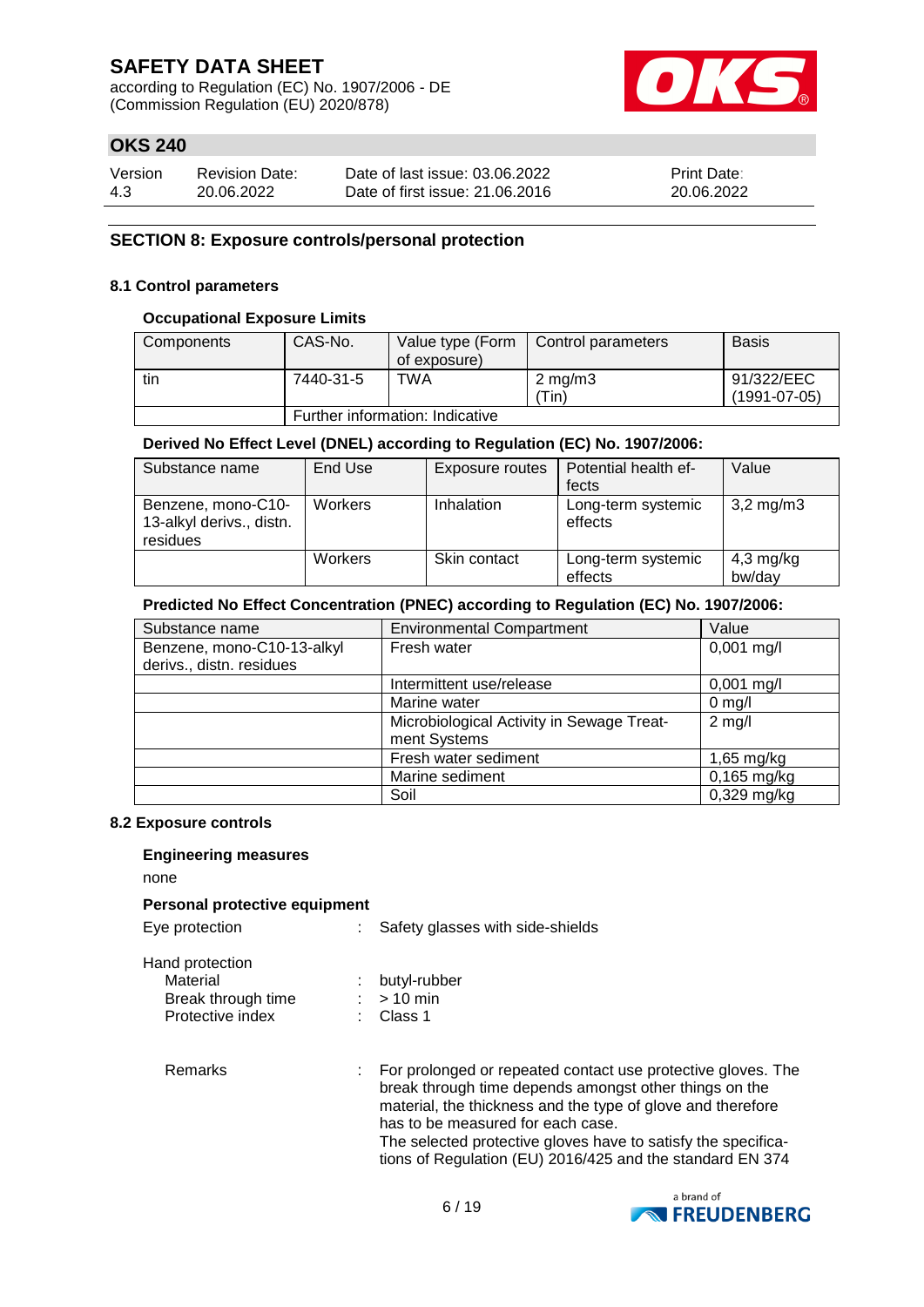according to Regulation (EC) No. 1907/2006 - DE (Commission Regulation (EU) 2020/878)



# **OKS 240**

| Version | <b>Revision Date:</b> | Date of last issue: 03.06.2022  | <b>Print Date:</b> |
|---------|-----------------------|---------------------------------|--------------------|
| 4.3     | 20.06.2022            | Date of first issue: 21.06.2016 | 20.06.2022         |

### **SECTION 8: Exposure controls/personal protection**

#### **8.1 Control parameters**

#### **Occupational Exposure Limits**

| Components | CAS-No.                         | Value type (Form | Control parameters | <b>Basis</b>   |
|------------|---------------------------------|------------------|--------------------|----------------|
|            |                                 | of exposure)     |                    |                |
| tin        | 7440-31-5                       | TWA              | $2 \text{ mg/m}$   | 91/322/EEC     |
|            |                                 |                  | (Tin               | $(1991-07-05)$ |
|            | Further information: Indicative |                  |                    |                |

#### **Derived No Effect Level (DNEL) according to Regulation (EC) No. 1907/2006:**

| Substance name                                             | End Use | Exposure routes | Potential health ef-<br>fects | Value                 |
|------------------------------------------------------------|---------|-----------------|-------------------------------|-----------------------|
|                                                            |         |                 |                               |                       |
| Benzene, mono-C10-<br>13-alkyl derivs., distn.<br>residues | Workers | Inhalation      | Long-term systemic<br>effects | $3,2$ mg/m $3$        |
|                                                            | Workers | Skin contact    | Long-term systemic<br>effects | $4,3$ mg/kg<br>bw/day |

### **Predicted No Effect Concentration (PNEC) according to Regulation (EC) No. 1907/2006:**

| Substance name             | <b>Environmental Compartment</b>          | Value            |
|----------------------------|-------------------------------------------|------------------|
| Benzene, mono-C10-13-alkyl | Fresh water                               | $0,001$ mg/l     |
| derivs., distn. residues   |                                           |                  |
|                            | Intermittent use/release                  | $0,001$ mg/l     |
|                            | Marine water                              | $0 \text{ mg/l}$ |
|                            | Microbiological Activity in Sewage Treat- | $2$ mg/l         |
|                            | ment Systems                              |                  |
|                            | Fresh water sediment                      | $1,65$ mg/kg     |
|                            | Marine sediment                           | $0,165$ mg/kg    |
|                            | Soil                                      | $0,329$ mg/kg    |

#### **8.2 Exposure controls**

#### **Engineering measures**

none

#### **Personal protective equipment**

Eye protection : Safety glasses with side-shields

| nu protoction             |               |
|---------------------------|---------------|
| Material                  | butyl-rubber  |
| <b>Rreak through time</b> | $\sim$ 10 min |

| Break through time | $>10$ min            |
|--------------------|----------------------|
| Protective index   | $\therefore$ Class 1 |

Remarks : For prolonged or repeated contact use protective gloves. The break through time depends amongst other things on the material, the thickness and the type of glove and therefore has to be measured for each case. The selected protective gloves have to satisfy the specifications of Regulation (EU) 2016/425 and the standard EN 374

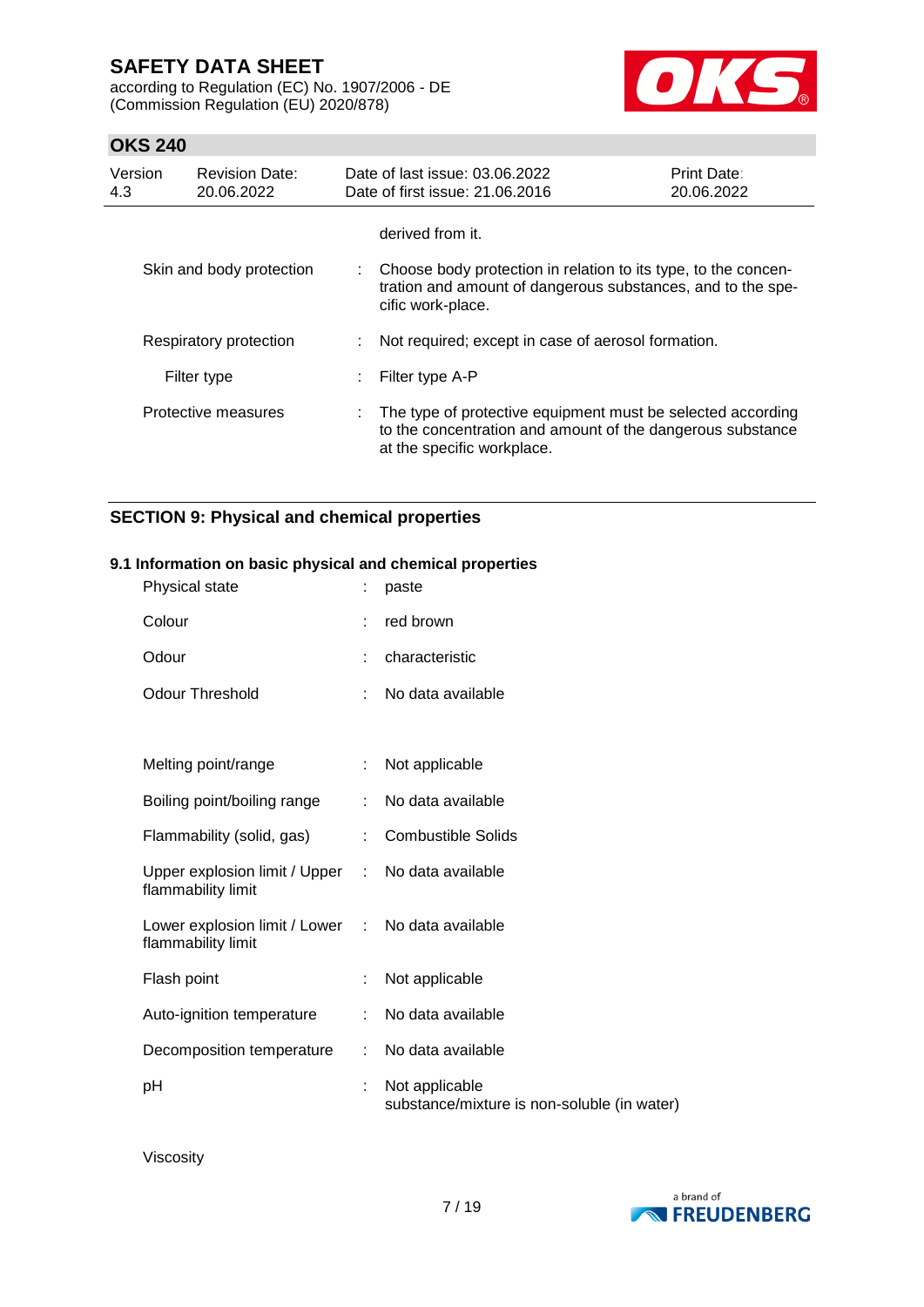according to Regulation (EC) No. 1907/2006 - DE (Commission Regulation (EU) 2020/878)



# **OKS 240**

| Version<br>4.3 | <b>Revision Date:</b><br>20.06.2022 | Date of last issue: 03.06.2022<br>Date of first issue: 21.06.2016                                                                                         | <b>Print Date:</b><br>20.06.2022 |
|----------------|-------------------------------------|-----------------------------------------------------------------------------------------------------------------------------------------------------------|----------------------------------|
|                |                                     | derived from it.                                                                                                                                          |                                  |
|                | Skin and body protection            | Choose body protection in relation to its type, to the concen-<br>tration and amount of dangerous substances, and to the spe-<br>cific work-place.        |                                  |
|                | Respiratory protection              | Not required; except in case of aerosol formation.                                                                                                        |                                  |
|                | Filter type                         | Filter type A-P                                                                                                                                           |                                  |
|                | Protective measures                 | : The type of protective equipment must be selected according<br>to the concentration and amount of the dangerous substance<br>at the specific workplace. |                                  |

# **SECTION 9: Physical and chemical properties**

#### **9.1 Information on basic physical and chemical properties**

| Physical state                                                          |    | paste                                                         |
|-------------------------------------------------------------------------|----|---------------------------------------------------------------|
| Colour                                                                  | ÷  | red brown                                                     |
| Odour                                                                   |    | characteristic                                                |
| <b>Odour Threshold</b>                                                  | t. | No data available                                             |
|                                                                         |    |                                                               |
| Melting point/range                                                     | ÷. | Not applicable                                                |
| Boiling point/boiling range                                             |    | No data available                                             |
| Flammability (solid, gas)                                               | ÷  | <b>Combustible Solids</b>                                     |
| Upper explosion limit / Upper :<br>flammability limit                   |    | No data available                                             |
| Lower explosion limit / Lower : No data available<br>flammability limit |    |                                                               |
| Flash point                                                             | ÷  | Not applicable                                                |
| Auto-ignition temperature                                               |    | No data available                                             |
| Decomposition temperature                                               | ÷  | No data available                                             |
| рH                                                                      |    | Not applicable<br>substance/mixture is non-soluble (in water) |

Viscosity

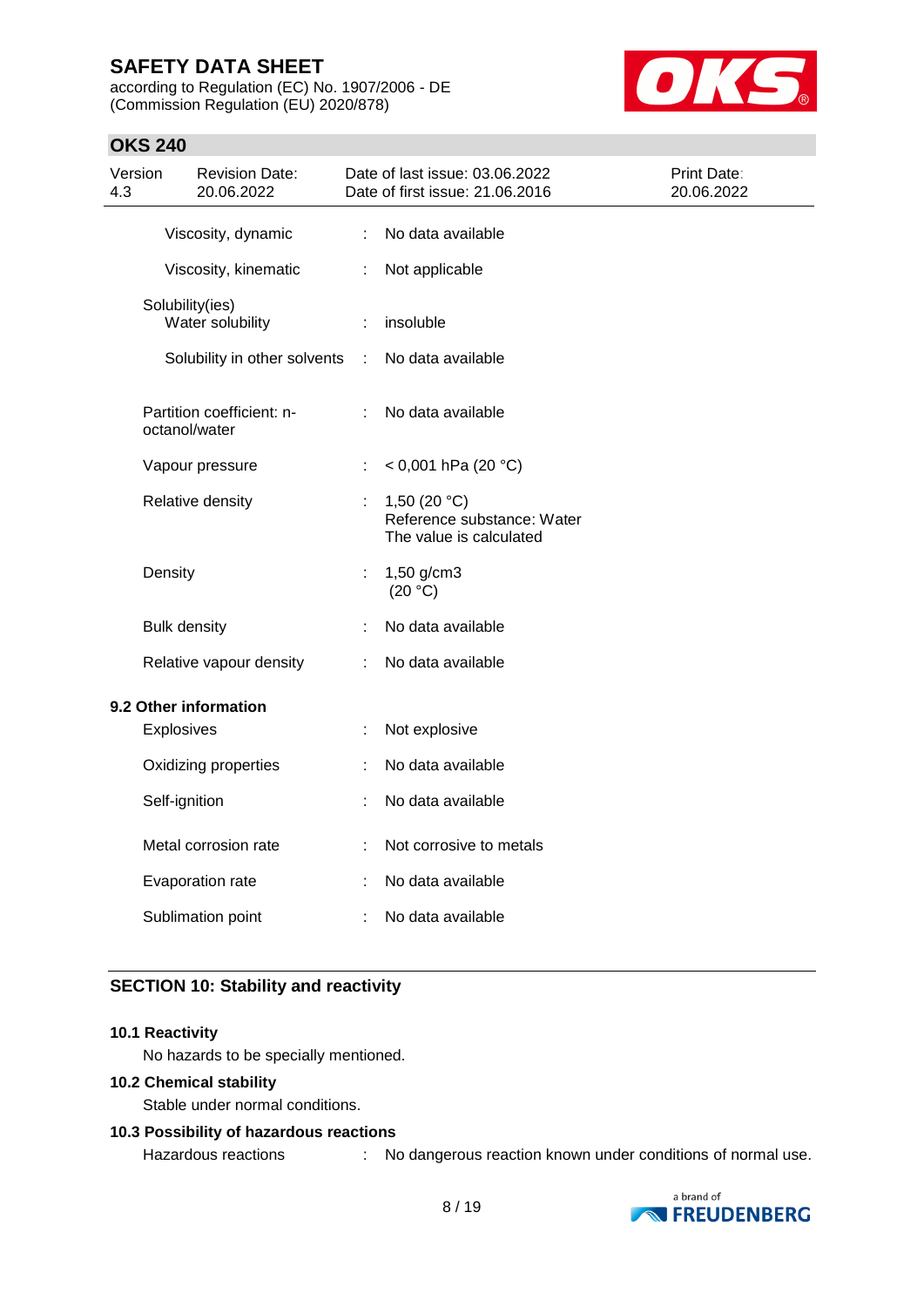**OKS 240**

according to Regulation (EC) No. 1907/2006 - DE (Commission Regulation (EU) 2020/878)



| Version<br>4.3 |                     | <b>Revision Date:</b><br>20.06.2022        |    | Date of last issue: 03.06.2022<br>Date of first issue: 21.06.2016       | Print Date:<br>20.06.2022 |
|----------------|---------------------|--------------------------------------------|----|-------------------------------------------------------------------------|---------------------------|
|                |                     | Viscosity, dynamic                         | ÷  | No data available                                                       |                           |
|                |                     | Viscosity, kinematic                       | ÷  | Not applicable                                                          |                           |
|                |                     | Solubility(ies)<br>Water solubility        | t  | insoluble                                                               |                           |
|                |                     | Solubility in other solvents               | ÷  | No data available                                                       |                           |
|                |                     | Partition coefficient: n-<br>octanol/water | ÷  | No data available                                                       |                           |
|                |                     | Vapour pressure                            | ÷. | < 0,001 hPa (20 °C)                                                     |                           |
|                |                     | Relative density                           |    | 1,50 $(20 °C)$<br>Reference substance: Water<br>The value is calculated |                           |
|                | Density             |                                            | İ, | 1,50 g/cm3<br>(20 °C)                                                   |                           |
|                | <b>Bulk density</b> |                                            |    | No data available                                                       |                           |
|                |                     | Relative vapour density                    | ÷  | No data available                                                       |                           |
|                |                     | 9.2 Other information                      |    |                                                                         |                           |
|                | Explosives          |                                            | ÷  | Not explosive                                                           |                           |
|                |                     | Oxidizing properties                       |    | No data available                                                       |                           |
|                | Self-ignition       |                                            |    | No data available                                                       |                           |
|                |                     | Metal corrosion rate                       | t  | Not corrosive to metals                                                 |                           |
|                |                     | Evaporation rate                           |    | No data available                                                       |                           |
|                |                     | Sublimation point                          |    | No data available                                                       |                           |

### **SECTION 10: Stability and reactivity**

#### **10.1 Reactivity**

No hazards to be specially mentioned.

### **10.2 Chemical stability**

Stable under normal conditions.

### **10.3 Possibility of hazardous reactions**

Hazardous reactions : No dangerous reaction known under conditions of normal use.

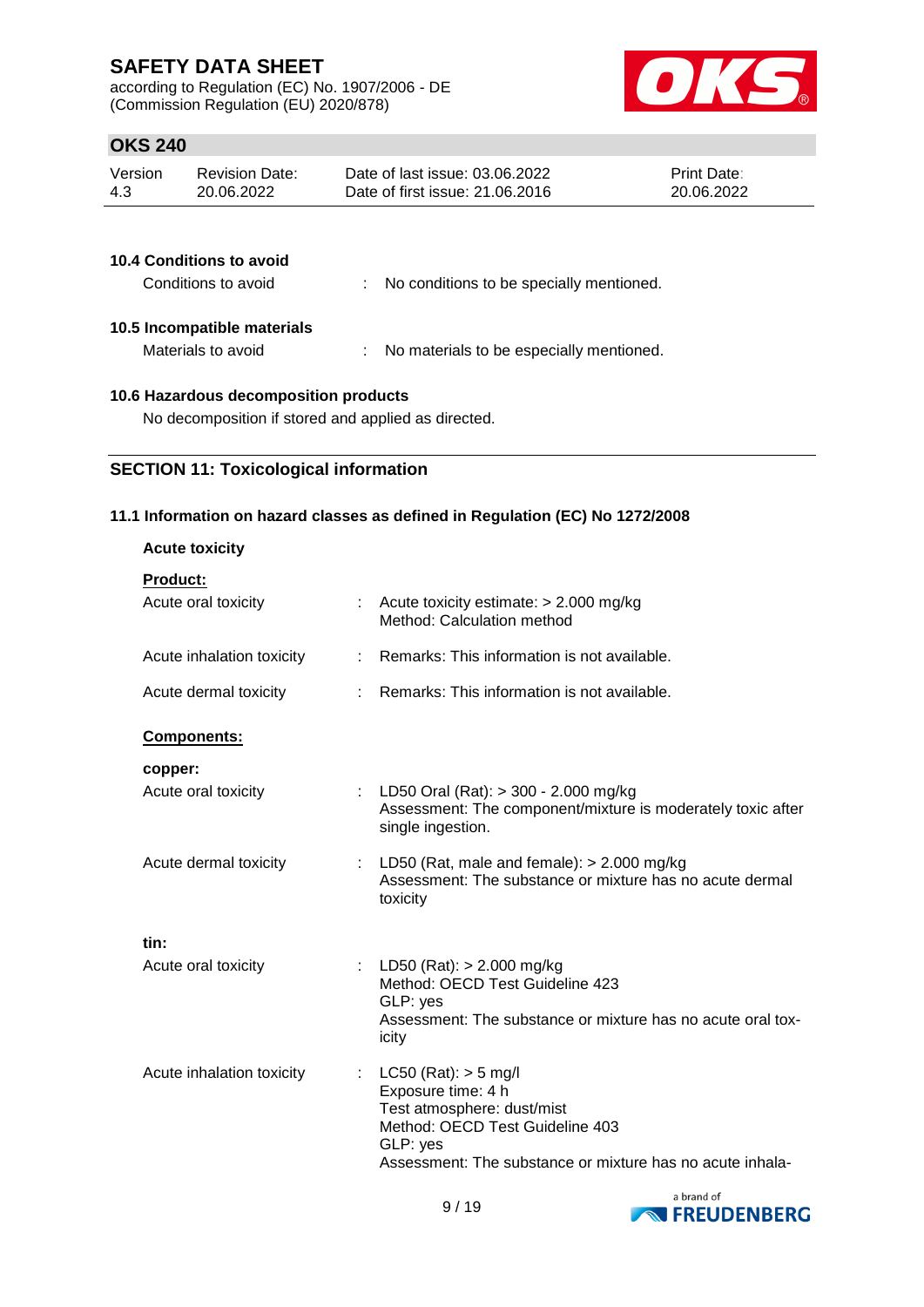according to Regulation (EC) No. 1907/2006 - DE (Commission Regulation (EU) 2020/878)



# **OKS 240**

| Version | <b>Revision Date:</b> | Date of last issue: 03.06.2022  | <b>Print Date:</b> |
|---------|-----------------------|---------------------------------|--------------------|
| 4.3     | 20.06.2022            | Date of first issue: 21,06,2016 | 20.06.2022         |
|         |                       |                                 |                    |

| <b>10.4 Conditions to avoid</b><br>Conditions to avoid | ÷. | No conditions to be specially mentioned. |
|--------------------------------------------------------|----|------------------------------------------|
| 10.5 Incompatible materials<br>Materials to avoid      | ÷. | No materials to be especially mentioned. |

### **10.6 Hazardous decomposition products**

No decomposition if stored and applied as directed.

### **SECTION 11: Toxicological information**

### **11.1 Information on hazard classes as defined in Regulation (EC) No 1272/2008**

| Acute toxicity estimate: $> 2.000$ mg/kg<br>Method: Calculation method                                                                                                                     |
|--------------------------------------------------------------------------------------------------------------------------------------------------------------------------------------------|
| : Remarks: This information is not available.                                                                                                                                              |
| Remarks: This information is not available.                                                                                                                                                |
|                                                                                                                                                                                            |
|                                                                                                                                                                                            |
| : LD50 Oral (Rat): $>$ 300 - 2.000 mg/kg<br>Assessment: The component/mixture is moderately toxic after<br>single ingestion.                                                               |
| : LD50 (Rat, male and female): $> 2.000$ mg/kg<br>Assessment: The substance or mixture has no acute dermal<br>toxicity                                                                     |
|                                                                                                                                                                                            |
| : LD50 (Rat): $> 2.000$ mg/kg<br>Method: OECD Test Guideline 423<br>GLP: yes<br>Assessment: The substance or mixture has no acute oral tox-<br>icity                                       |
| : $LC50$ (Rat): $> 5$ mg/l<br>Exposure time: 4 h<br>Test atmosphere: dust/mist<br>Method: OECD Test Guideline 403<br>GLP: yes<br>Assessment: The substance or mixture has no acute inhala- |
|                                                                                                                                                                                            |

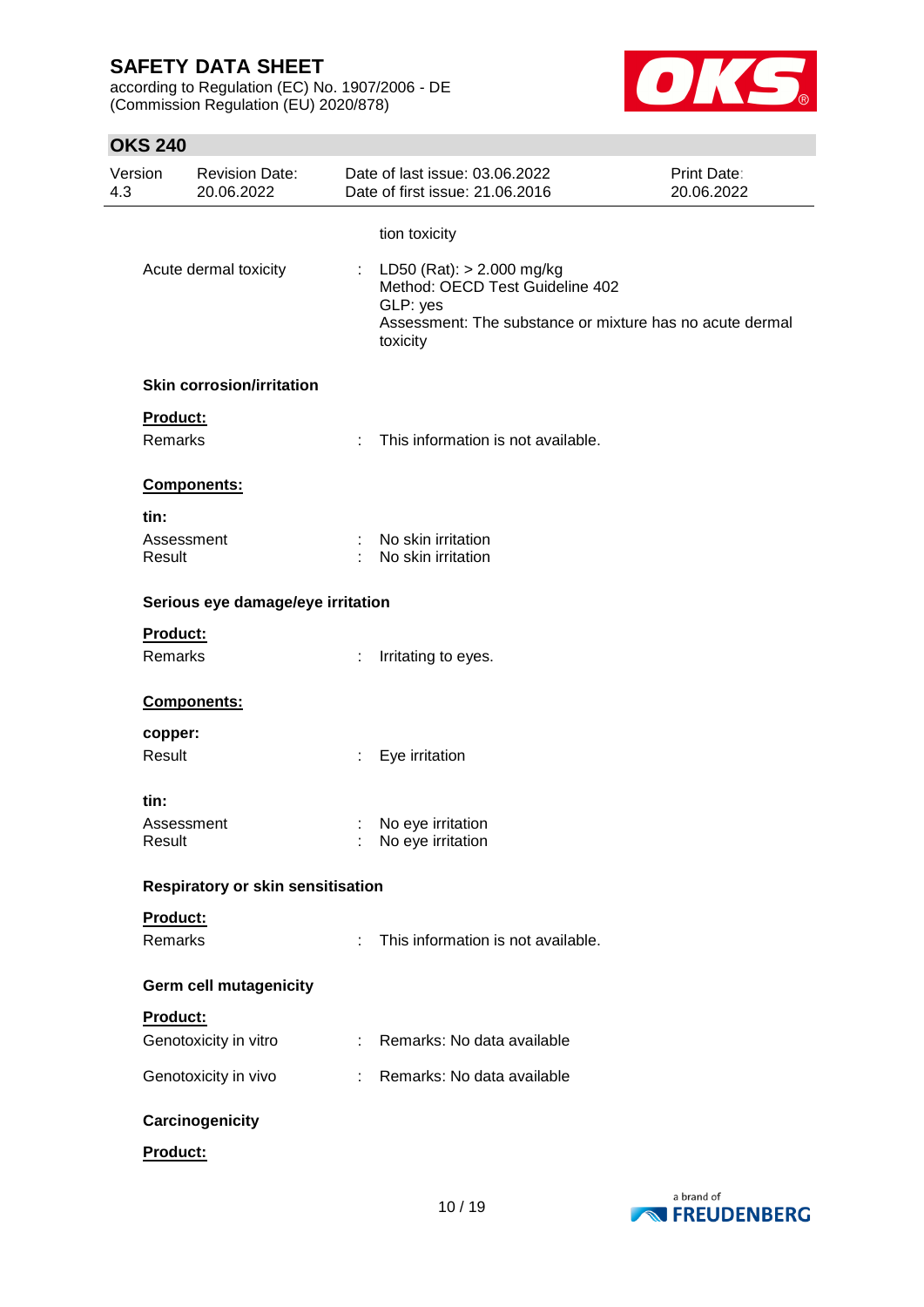according to Regulation (EC) No. 1907/2006 - DE (Commission Regulation (EU) 2020/878)



# **OKS 240**

| Version<br>4.3      | <b>Revision Date:</b><br>20.06.2022 |                       | Date of last issue: 03.06.2022<br>Date of first issue: 21.06.2016                                                                                | Print Date:<br>20.06.2022 |
|---------------------|-------------------------------------|-----------------------|--------------------------------------------------------------------------------------------------------------------------------------------------|---------------------------|
|                     |                                     |                       | tion toxicity                                                                                                                                    |                           |
|                     | Acute dermal toxicity               | $\mathbb{Z}^{\times}$ | LD50 (Rat): > 2.000 mg/kg<br>Method: OECD Test Guideline 402<br>GLP: yes<br>Assessment: The substance or mixture has no acute dermal<br>toxicity |                           |
|                     | <b>Skin corrosion/irritation</b>    |                       |                                                                                                                                                  |                           |
| Product:<br>Remarks |                                     | ÷.                    | This information is not available.                                                                                                               |                           |
|                     | <b>Components:</b>                  |                       |                                                                                                                                                  |                           |
| tin:                |                                     |                       |                                                                                                                                                  |                           |
| Result              | Assessment                          |                       | No skin irritation<br>No skin irritation                                                                                                         |                           |
|                     | Serious eye damage/eye irritation   |                       |                                                                                                                                                  |                           |
| Product:<br>Remarks |                                     |                       | Irritating to eyes.                                                                                                                              |                           |
|                     | Components:                         |                       |                                                                                                                                                  |                           |
| copper:             |                                     |                       |                                                                                                                                                  |                           |
| Result              |                                     | ÷.                    | Eye irritation                                                                                                                                   |                           |
| tin:                |                                     |                       |                                                                                                                                                  |                           |
| Result              | Assessment                          |                       | No eye irritation<br>No eye irritation                                                                                                           |                           |
|                     | Respiratory or skin sensitisation   |                       |                                                                                                                                                  |                           |
| Product:<br>Remarks |                                     |                       | This information is not available.                                                                                                               |                           |
|                     | <b>Germ cell mutagenicity</b>       |                       |                                                                                                                                                  |                           |
| <b>Product:</b>     |                                     |                       |                                                                                                                                                  |                           |
|                     | Genotoxicity in vitro               |                       | : Remarks: No data available                                                                                                                     |                           |
|                     | Genotoxicity in vivo                |                       | Remarks: No data available                                                                                                                       |                           |
|                     | Carcinogenicity                     |                       |                                                                                                                                                  |                           |
| Product:            |                                     |                       |                                                                                                                                                  |                           |

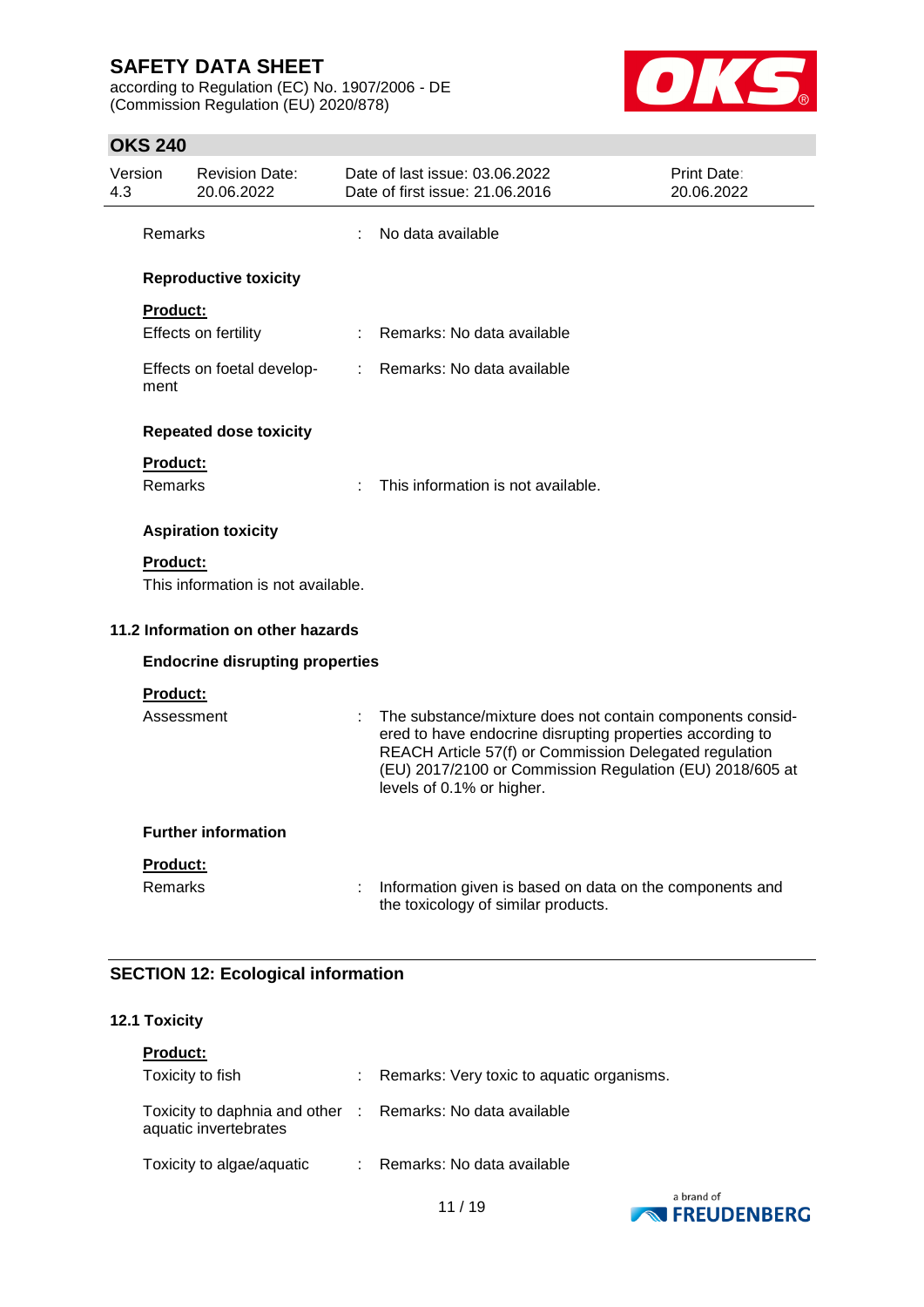according to Regulation (EC) No. 1907/2006 - DE (Commission Regulation (EU) 2020/878)



# **OKS 240**

| 4.3 | Version         | <b>Revision Date:</b><br>20.06.2022    |   | Date of last issue: 03.06.2022<br>Date of first issue: 21,06,2016                                                                                                                                                                                                         | Print Date:<br>20.06.2022 |
|-----|-----------------|----------------------------------------|---|---------------------------------------------------------------------------------------------------------------------------------------------------------------------------------------------------------------------------------------------------------------------------|---------------------------|
|     | Remarks         |                                        | ÷ | No data available                                                                                                                                                                                                                                                         |                           |
|     |                 | <b>Reproductive toxicity</b>           |   |                                                                                                                                                                                                                                                                           |                           |
|     | <b>Product:</b> |                                        |   |                                                                                                                                                                                                                                                                           |                           |
|     |                 | Effects on fertility                   |   | Remarks: No data available                                                                                                                                                                                                                                                |                           |
|     | ment            | Effects on foetal develop-             |   | : Remarks: No data available                                                                                                                                                                                                                                              |                           |
|     |                 | <b>Repeated dose toxicity</b>          |   |                                                                                                                                                                                                                                                                           |                           |
|     | <b>Product:</b> |                                        |   |                                                                                                                                                                                                                                                                           |                           |
|     | <b>Remarks</b>  |                                        |   | This information is not available.                                                                                                                                                                                                                                        |                           |
|     |                 | <b>Aspiration toxicity</b>             |   |                                                                                                                                                                                                                                                                           |                           |
|     | <b>Product:</b> |                                        |   |                                                                                                                                                                                                                                                                           |                           |
|     |                 | This information is not available.     |   |                                                                                                                                                                                                                                                                           |                           |
|     |                 | 11.2 Information on other hazards      |   |                                                                                                                                                                                                                                                                           |                           |
|     |                 | <b>Endocrine disrupting properties</b> |   |                                                                                                                                                                                                                                                                           |                           |
|     | Product:        |                                        |   |                                                                                                                                                                                                                                                                           |                           |
|     | Assessment      |                                        |   | The substance/mixture does not contain components consid-<br>ered to have endocrine disrupting properties according to<br>REACH Article 57(f) or Commission Delegated regulation<br>(EU) 2017/2100 or Commission Regulation (EU) 2018/605 at<br>levels of 0.1% or higher. |                           |
|     |                 | <b>Further information</b>             |   |                                                                                                                                                                                                                                                                           |                           |
|     | <b>Product:</b> |                                        |   |                                                                                                                                                                                                                                                                           |                           |
|     | <b>Remarks</b>  |                                        |   | Information given is based on data on the components and<br>the toxicology of similar products.                                                                                                                                                                           |                           |

# **SECTION 12: Ecological information**

#### **12.1 Toxicity**

| <b>Product:</b>                                                                     |                                           |
|-------------------------------------------------------------------------------------|-------------------------------------------|
| Toxicity to fish                                                                    | Remarks: Very toxic to aquatic organisms. |
| Toxicity to daphnia and other : Remarks: No data available<br>aquatic invertebrates |                                           |
| Toxicity to algae/aquatic                                                           | : Remarks: No data available              |

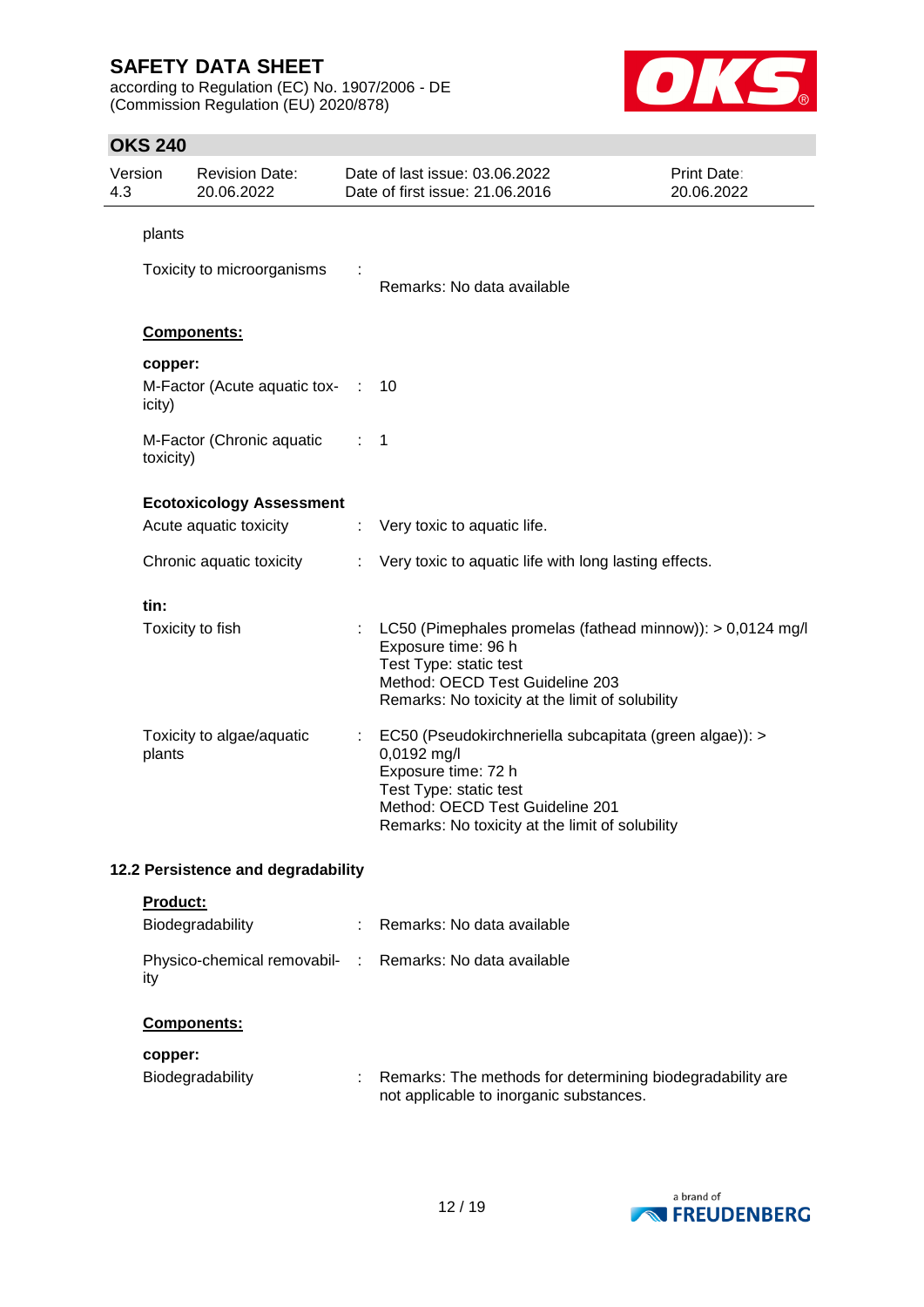according to Regulation (EC) No. 1907/2006 - DE (Commission Regulation (EU) 2020/878)



# **OKS 240**

| Version<br>4.3 |                   | <b>Revision Date:</b><br>20.06.2022 |                             | Date of last issue: 03.06.2022<br>Date of first issue: 21.06.2016                                                                                                                                             | Print Date:<br>20.06.2022 |
|----------------|-------------------|-------------------------------------|-----------------------------|---------------------------------------------------------------------------------------------------------------------------------------------------------------------------------------------------------------|---------------------------|
|                | plants            |                                     |                             |                                                                                                                                                                                                               |                           |
|                |                   | Toxicity to microorganisms          |                             | Remarks: No data available                                                                                                                                                                                    |                           |
|                |                   | <b>Components:</b>                  |                             |                                                                                                                                                                                                               |                           |
|                | copper:<br>icity) | M-Factor (Acute aquatic tox- :      |                             | 10                                                                                                                                                                                                            |                           |
|                | toxicity)         | M-Factor (Chronic aquatic           | $\mathbb{R}^n$              | $\mathbf 1$                                                                                                                                                                                                   |                           |
|                |                   | <b>Ecotoxicology Assessment</b>     |                             |                                                                                                                                                                                                               |                           |
|                |                   | Acute aquatic toxicity              | $\mathcal{L}^{\mathcal{L}}$ | Very toxic to aquatic life.                                                                                                                                                                                   |                           |
|                |                   | Chronic aquatic toxicity            | ÷                           | Very toxic to aquatic life with long lasting effects.                                                                                                                                                         |                           |
|                | tin:              |                                     |                             |                                                                                                                                                                                                               |                           |
|                |                   | Toxicity to fish                    |                             | LC50 (Pimephales promelas (fathead minnow)): > 0,0124 mg/l<br>Exposure time: 96 h<br>Test Type: static test<br>Method: OECD Test Guideline 203<br>Remarks: No toxicity at the limit of solubility             |                           |
|                | plants            | Toxicity to algae/aquatic           |                             | EC50 (Pseudokirchneriella subcapitata (green algae)): ><br>0,0192 mg/l<br>Exposure time: 72 h<br>Test Type: static test<br>Method: OECD Test Guideline 201<br>Remarks: No toxicity at the limit of solubility |                           |
|                |                   | 12.2 Persistence and degradability  |                             |                                                                                                                                                                                                               |                           |

#### **Product:**

| Biodegradability                                                |    | : Remarks: No data available                                                                         |
|-----------------------------------------------------------------|----|------------------------------------------------------------------------------------------------------|
| Physico-chemical removabil- : Remarks: No data available<br>ity |    |                                                                                                      |
| <b>Components:</b>                                              |    |                                                                                                      |
| copper:                                                         |    |                                                                                                      |
| Biodegradability                                                | ÷. | Remarks: The methods for determining biodegradability are<br>not applicable to inorganic substances. |

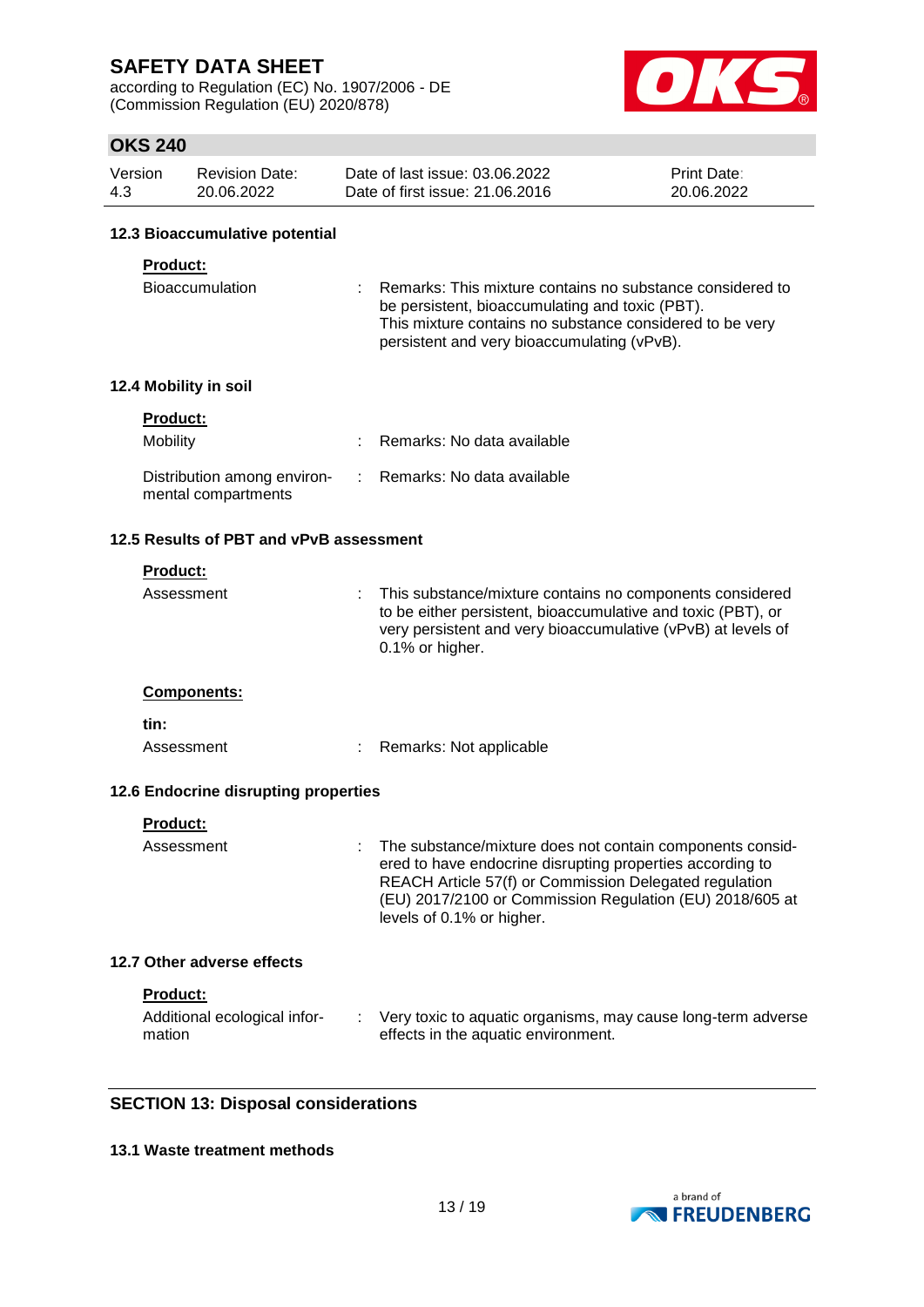according to Regulation (EC) No. 1907/2006 - DE (Commission Regulation (EU) 2020/878)



# **OKS 240**

| Version | Revision Date: | Date of last issue: 03.06.2022  | <b>Print Date:</b> |
|---------|----------------|---------------------------------|--------------------|
| 4.3     | 20.06.2022     | Date of first issue: 21,06,2016 | 20.06.2022         |

### **12.3 Bioaccumulative potential**

### **Product:**

| Bioaccumulation |  | : Remarks: This mixture contains no substance considered to |
|-----------------|--|-------------------------------------------------------------|
|                 |  | be persistent, bioaccumulating and toxic (PBT).             |
|                 |  | This mixture contains no substance considered to be very    |
|                 |  | persistent and very bioaccumulating (vPvB).                 |

### **12.4 Mobility in soil**

| <b>Product:</b>                                    |                              |
|----------------------------------------------------|------------------------------|
| <b>Mobility</b>                                    | : Remarks: No data available |
| Distribution among environ-<br>mental compartments | : Remarks: No data available |

# **12.5 Results of PBT and vPvB assessment**

| <b>Product:</b>                      |                                                                                                                                                                                                                                                                           |
|--------------------------------------|---------------------------------------------------------------------------------------------------------------------------------------------------------------------------------------------------------------------------------------------------------------------------|
| Assessment                           | This substance/mixture contains no components considered<br>to be either persistent, bioaccumulative and toxic (PBT), or<br>very persistent and very bioaccumulative (vPvB) at levels of<br>0.1% or higher.                                                               |
| Components:                          |                                                                                                                                                                                                                                                                           |
| tin:                                 |                                                                                                                                                                                                                                                                           |
| Assessment                           | Remarks: Not applicable                                                                                                                                                                                                                                                   |
| 12.6 Endocrine disrupting properties |                                                                                                                                                                                                                                                                           |
| <b>Product:</b>                      |                                                                                                                                                                                                                                                                           |
| Assessment                           | The substance/mixture does not contain components consid-<br>ered to have endocrine disrupting properties according to<br>REACH Article 57(f) or Commission Delegated regulation<br>(EU) 2017/2100 or Commission Regulation (EU) 2018/605 at<br>levels of 0.1% or higher. |
| 12.7 Other adverse effects           |                                                                                                                                                                                                                                                                           |
| <b>Product:</b>                      |                                                                                                                                                                                                                                                                           |

| Additional ecological infor- | Very toxic to aquatic organisms, may cause long-term adverse |
|------------------------------|--------------------------------------------------------------|
| mation                       | effects in the aquatic environment.                          |

### **SECTION 13: Disposal considerations**

### **13.1 Waste treatment methods**

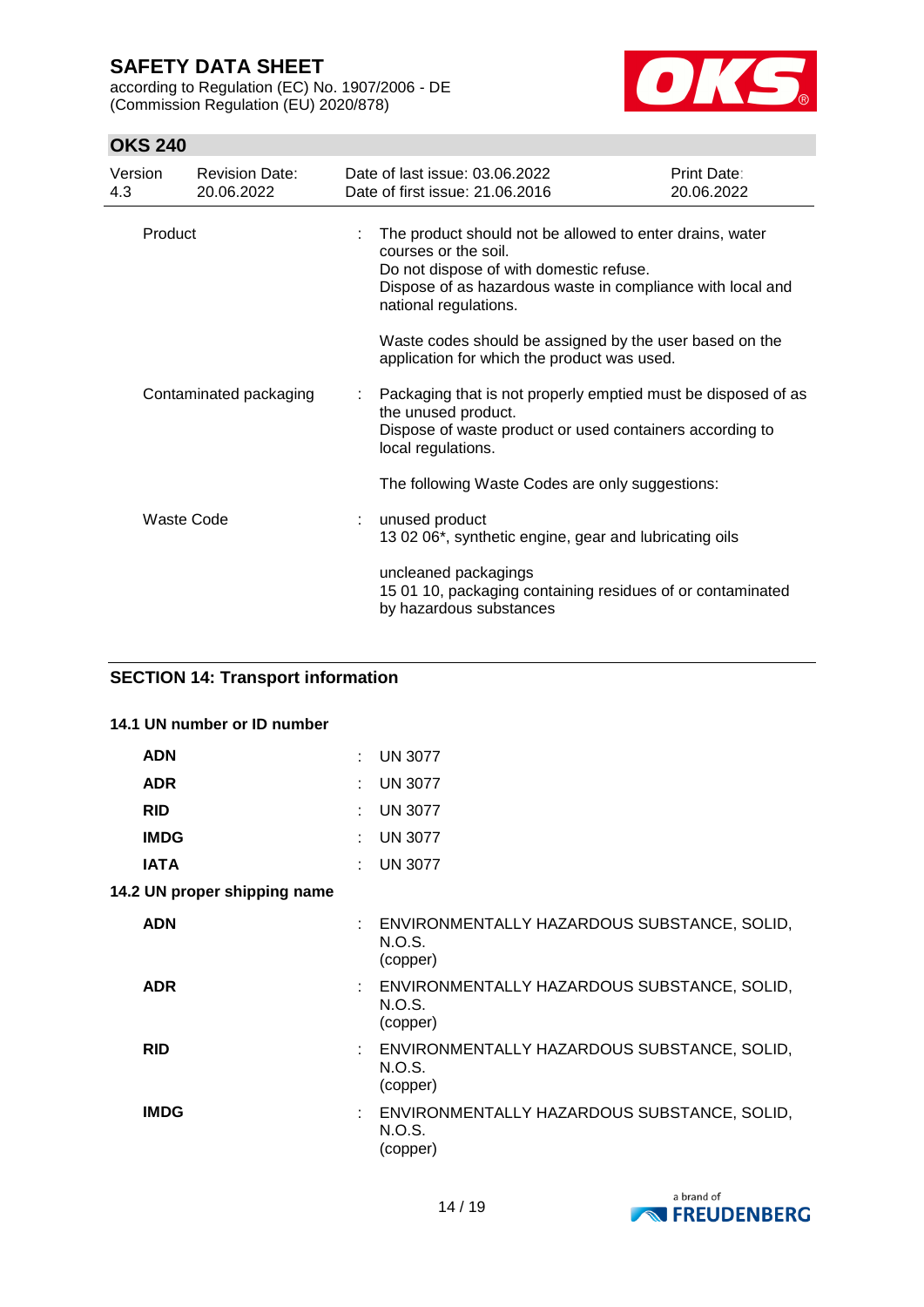according to Regulation (EC) No. 1907/2006 - DE (Commission Regulation (EU) 2020/878)



# **OKS 240**

| Version<br>4.3 | <b>Revision Date:</b><br>20.06.2022 | Date of last issue: 03.06.2022<br>Date of first issue: 21.06.2016                                                                                                                                                  | <b>Print Date:</b><br>20.06.2022 |
|----------------|-------------------------------------|--------------------------------------------------------------------------------------------------------------------------------------------------------------------------------------------------------------------|----------------------------------|
|                | Product                             | The product should not be allowed to enter drains, water<br>courses or the soil.<br>Do not dispose of with domestic refuse.<br>Dispose of as hazardous waste in compliance with local and<br>national regulations. |                                  |
|                |                                     | Waste codes should be assigned by the user based on the<br>application for which the product was used.                                                                                                             |                                  |
|                | Contaminated packaging              | Packaging that is not properly emptied must be disposed of as<br>the unused product.<br>Dispose of waste product or used containers according to<br>local regulations.                                             |                                  |
|                |                                     | The following Waste Codes are only suggestions:                                                                                                                                                                    |                                  |
|                | <b>Waste Code</b>                   | unused product<br>13 02 06*, synthetic engine, gear and lubricating oils                                                                                                                                           |                                  |
|                |                                     | uncleaned packagings<br>15 01 10, packaging containing residues of or contaminated<br>by hazardous substances                                                                                                      |                                  |

# **SECTION 14: Transport information**

### **14.1 UN number or ID number**

| <b>ADN</b>                   | <b>UN 3077</b>                                                      |
|------------------------------|---------------------------------------------------------------------|
| <b>ADR</b>                   | <b>UN 3077</b>                                                      |
| <b>RID</b>                   | <b>UN 3077</b>                                                      |
| <b>IMDG</b>                  | <b>UN 3077</b>                                                      |
| <b>IATA</b>                  | <b>UN 3077</b>                                                      |
| 14.2 UN proper shipping name |                                                                     |
| <b>ADN</b>                   | : ENVIRONMENTALLY HAZARDOUS SUBSTANCE, SOLID,<br>N.O.S.<br>(copper) |
| <b>ADR</b>                   | : ENVIRONMENTALLY HAZARDOUS SUBSTANCE, SOLID,<br>N.O.S.<br>(copper) |
| <b>RID</b>                   | : ENVIRONMENTALLY HAZARDOUS SUBSTANCE, SOLID,<br>N.O.S.<br>(copper) |
| <b>IMDG</b>                  | : ENVIRONMENTALLY HAZARDOUS SUBSTANCE, SOLID,<br>N.O.S.<br>(copper) |
|                              |                                                                     |

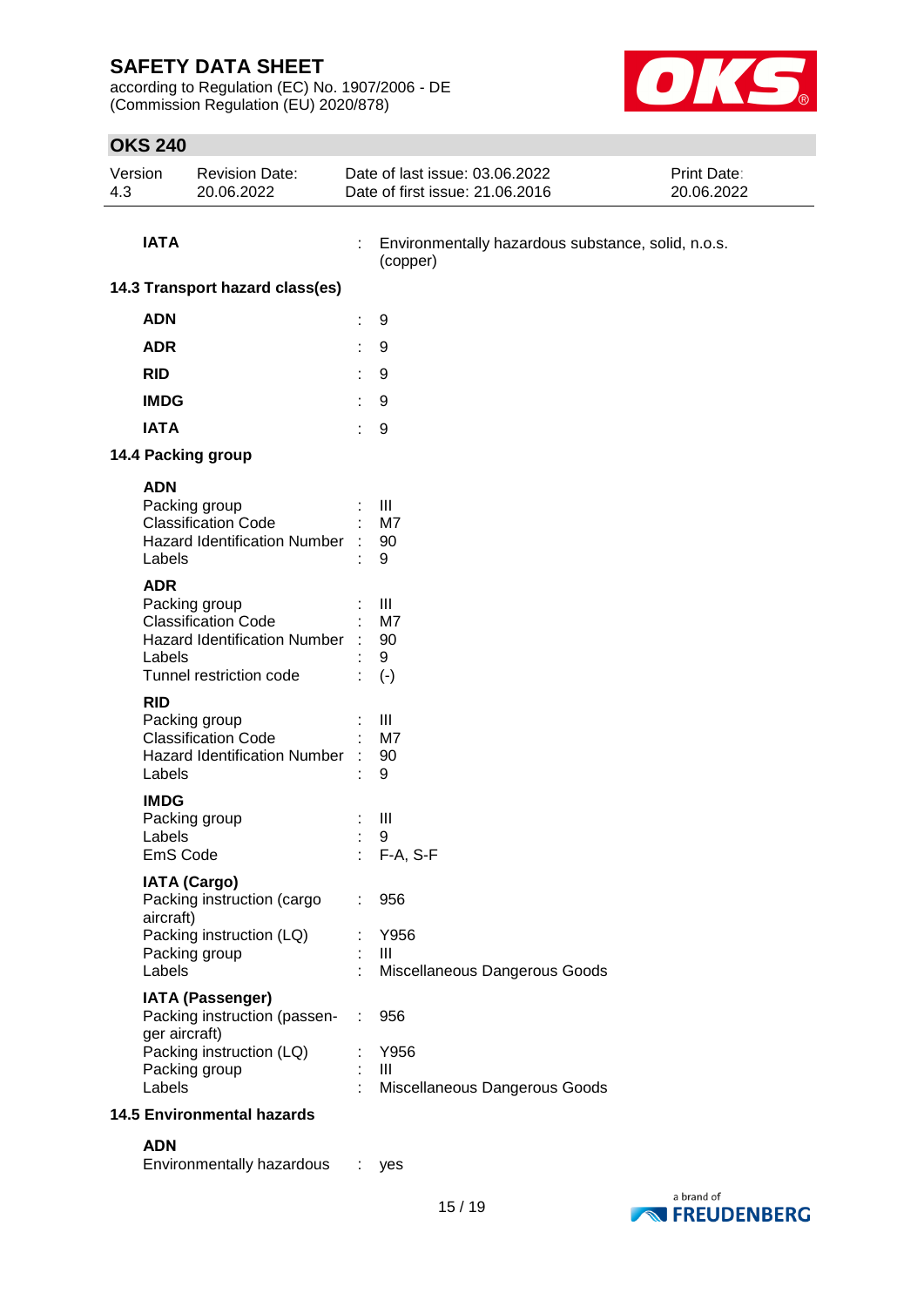according to Regulation (EC) No. 1907/2006 - DE (Commission Regulation (EU) 2020/878)



# **OKS 240**

| Version | Revision Date: | Date of last issue: 03.06.2022  | <b>Print Date:</b> |
|---------|----------------|---------------------------------|--------------------|
| 4.3     | 20.06.2022     | Date of first issue: 21,06,2016 | 20.06.2022         |

**IATA** : Environmentally hazardous substance, solid, n.o.s. (copper)

### **14.3 Transport hazard class(es)**

| <b>ADN</b>  | ٠ | 9 |
|-------------|---|---|
| <b>ADR</b>  | ٠ | 9 |
| <b>RID</b>  | t | 9 |
| <b>IMDG</b> | ٠ | 9 |
| <b>IATA</b> | ٠ | 9 |
|             |   |   |

### **14.4 Packing group**

### **ADN**

| Packing group<br><b>Classification Code</b><br><b>Hazard Identification Number</b><br>Labels |   | $\mathbf{III}$<br>M7<br>90<br>9 |
|----------------------------------------------------------------------------------------------|---|---------------------------------|
| <b>ADR</b>                                                                                   |   |                                 |
| Packing group                                                                                |   | III                             |
| <b>Classification Code</b>                                                                   |   | M7                              |
| <b>Hazard Identification Number</b>                                                          |   | 90                              |
| Labels                                                                                       |   | 9                               |
| Tunnel restriction code                                                                      |   | $(-)$                           |
| <b>RID</b>                                                                                   |   |                                 |
| Packing group                                                                                |   | $\mathbf{III}$                  |
| <b>Classification Code</b>                                                                   |   | M <sub>7</sub>                  |
| <b>Hazard Identification Number</b>                                                          |   | 90                              |
| Labels                                                                                       |   | 9                               |
| <b>IMDG</b>                                                                                  |   |                                 |
| Packing group                                                                                |   | $\mathbf{III}$                  |
| Labels                                                                                       |   | 9                               |
| EmS Code                                                                                     |   | F-A, S-F                        |
| <b>IATA (Cargo)</b>                                                                          |   |                                 |
| Packing instruction (cargo                                                                   | ÷ | 956                             |
| aircraft)                                                                                    |   |                                 |
| Packing instruction (LQ)                                                                     |   | Y956                            |
| Packing group                                                                                |   | Ш                               |
| Labels                                                                                       |   | Miscellaneous Dangerous Goods   |
| <b>IATA (Passenger)</b>                                                                      |   |                                 |
| Packing instruction (passen-                                                                 | ÷ | 956                             |
| ger aircraft)                                                                                |   |                                 |
| Packing instruction (LQ)                                                                     |   | Y956                            |
| Packing group                                                                                |   | Ш                               |
| Labels                                                                                       |   | Miscellaneous Dangerous Goods   |
| <b>14.5 Environmental hazards</b>                                                            |   |                                 |

### **ADN**

| Environmentally hazardous | yes |
|---------------------------|-----|
|                           |     |

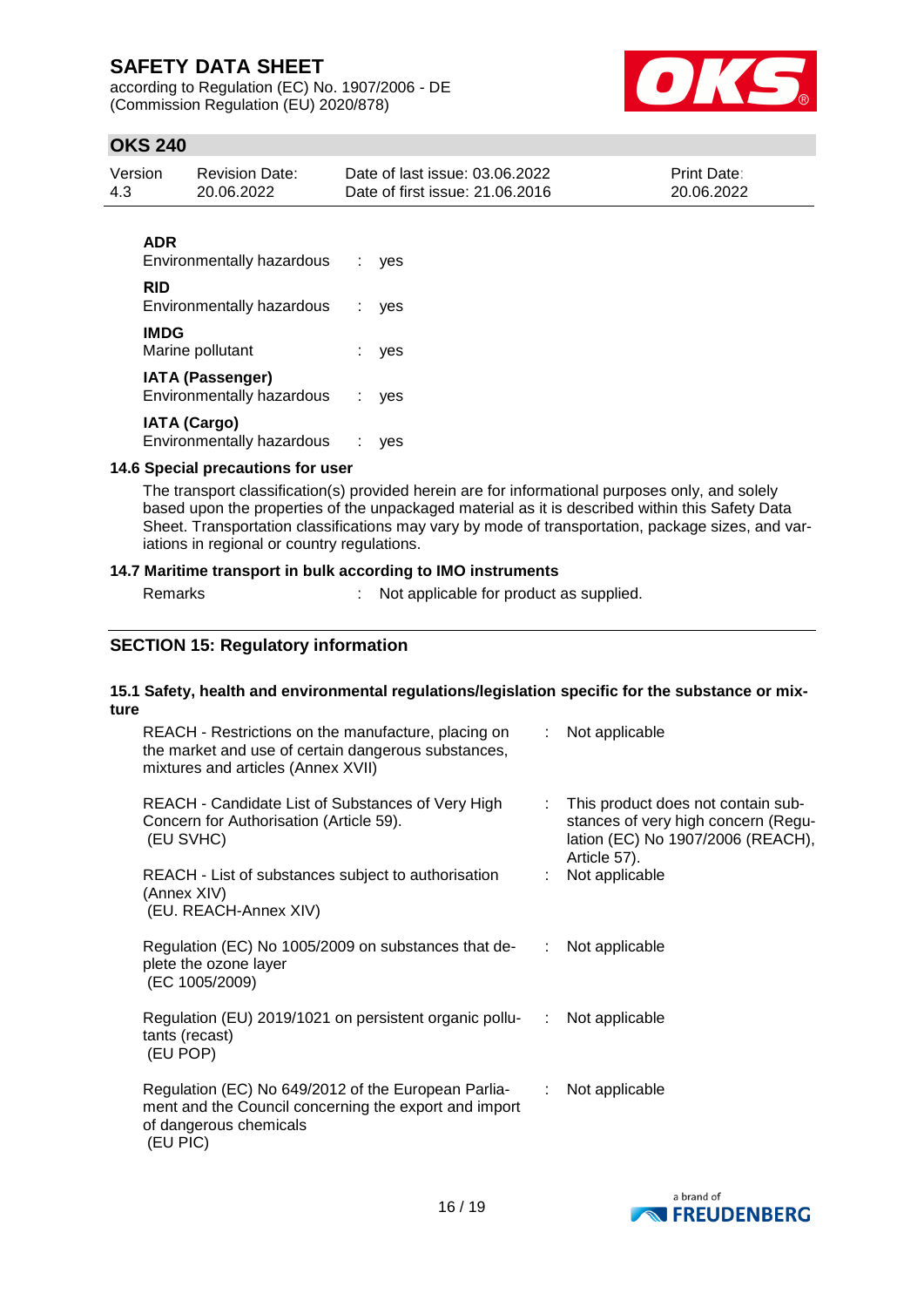according to Regulation (EC) No. 1907/2006 - DE (Commission Regulation (EU) 2020/878)



# **OKS 240**

| Version | <b>Revision Date:</b> | Date of last issue: 03.06.2022  | <b>Print Date:</b> |
|---------|-----------------------|---------------------------------|--------------------|
| -4.3    | 20.06.2022            | Date of first issue: 21.06.2016 | 20.06.2022         |
|         |                       |                                 |                    |

# **ADR**

| Environmentally hazardous :                             | ves     |
|---------------------------------------------------------|---------|
| RID<br>Environmentally hazardous :                      | ves     |
| <b>IMDG</b><br>Marine pollutant                         | $:$ ves |
| <b>IATA (Passenger)</b><br>Environmentally hazardous :  | ves     |
| <b>IATA (Cargo)</b><br><b>Environmentally hazardous</b> | ves     |

### **14.6 Special precautions for user**

The transport classification(s) provided herein are for informational purposes only, and solely based upon the properties of the unpackaged material as it is described within this Safety Data Sheet. Transportation classifications may vary by mode of transportation, package sizes, and variations in regional or country regulations.

### **14.7 Maritime transport in bulk according to IMO instruments**

Remarks : Not applicable for product as supplied.

### **SECTION 15: Regulatory information**

#### **15.1 Safety, health and environmental regulations/legislation specific for the substance or mixture**

| REACH - Restrictions on the manufacture, placing on<br>the market and use of certain dangerous substances,<br>mixtures and articles (Annex XVII)   |    | $\therefore$ Not applicable                                                                                                      |
|----------------------------------------------------------------------------------------------------------------------------------------------------|----|----------------------------------------------------------------------------------------------------------------------------------|
| REACH - Candidate List of Substances of Very High<br>Concern for Authorisation (Article 59).<br>(EU SVHC)                                          |    | : This product does not contain sub-<br>stances of very high concern (Regu-<br>lation (EC) No 1907/2006 (REACH),<br>Article 57). |
| REACH - List of substances subject to authorisation<br>(Annex XIV)<br>(EU. REACH-Annex XIV)                                                        |    | Not applicable                                                                                                                   |
| Regulation (EC) No 1005/2009 on substances that de- : Not applicable<br>plete the ozone layer<br>(EC 1005/2009)                                    |    |                                                                                                                                  |
| Regulation (EU) 2019/1021 on persistent organic pollu-<br><br>tants (recast)<br>(EU POP)                                                           |    | Not applicable                                                                                                                   |
| Regulation (EC) No 649/2012 of the European Parlia-<br>ment and the Council concerning the export and import<br>of dangerous chemicals<br>(EU PIC) | ÷. | Not applicable                                                                                                                   |

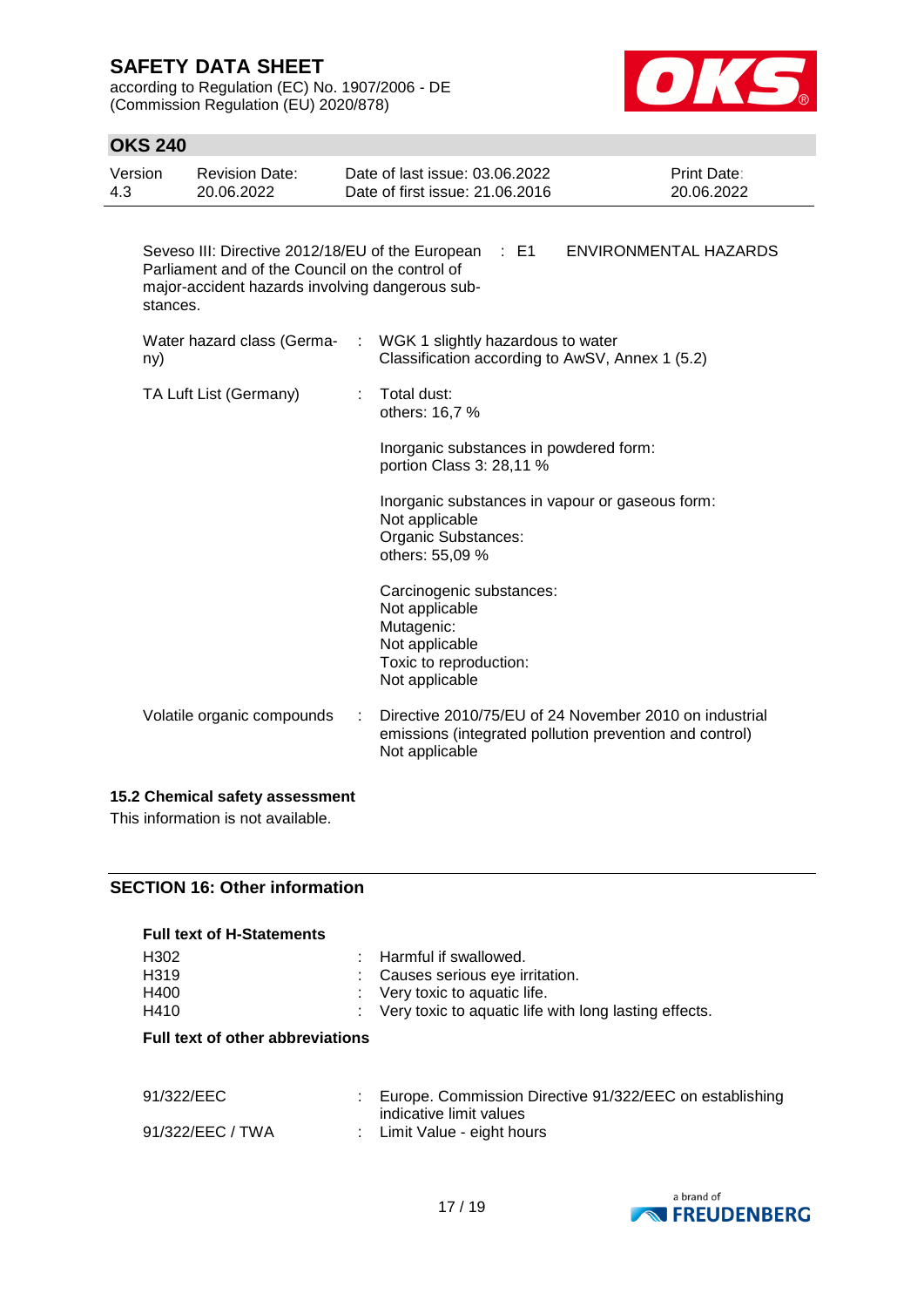according to Regulation (EC) No. 1907/2006 - DE (Commission Regulation (EU) 2020/878)



# **OKS 240**

| Version<br>4.3                                                                                                                                                          |     | <b>Revision Date:</b><br>20.06.2022 |    | Date of last issue: 03.06.2022<br>Date of first issue: 21.06.2016                                                      | Print Date:<br>20.06.2022                                                                                         |
|-------------------------------------------------------------------------------------------------------------------------------------------------------------------------|-----|-------------------------------------|----|------------------------------------------------------------------------------------------------------------------------|-------------------------------------------------------------------------------------------------------------------|
| Seveso III: Directive 2012/18/EU of the European : E1<br>Parliament and of the Council on the control of<br>major-accident hazards involving dangerous sub-<br>stances. |     | ENVIRONMENTAL HAZARDS               |    |                                                                                                                        |                                                                                                                   |
|                                                                                                                                                                         | ny) | Water hazard class (Germa-          | ÷. | WGK 1 slightly hazardous to water<br>Classification according to AwSV, Annex 1 (5.2)                                   |                                                                                                                   |
|                                                                                                                                                                         |     | TA Luft List (Germany)              |    | Total dust:<br>others: 16,7 %                                                                                          |                                                                                                                   |
|                                                                                                                                                                         |     |                                     |    | Inorganic substances in powdered form:<br>portion Class 3: 28,11 %                                                     |                                                                                                                   |
|                                                                                                                                                                         |     |                                     |    | Inorganic substances in vapour or gaseous form:<br>Not applicable<br>Organic Substances:<br>others: 55,09 %            |                                                                                                                   |
|                                                                                                                                                                         |     |                                     |    | Carcinogenic substances:<br>Not applicable<br>Mutagenic:<br>Not applicable<br>Toxic to reproduction:<br>Not applicable |                                                                                                                   |
|                                                                                                                                                                         |     | Volatile organic compounds          |    | Not applicable                                                                                                         | Directive 2010/75/EU of 24 November 2010 on industrial<br>emissions (integrated pollution prevention and control) |

### **15.2 Chemical safety assessment**

This information is not available.

### **SECTION 16: Other information**

| <b>Full text of H-Statements</b> |                                                         |
|----------------------------------|---------------------------------------------------------|
| H302                             | : Harmful if swallowed.                                 |
| H <sub>3</sub> 19                | : Causes serious eye irritation.                        |
| H400                             | $\therefore$ Very toxic to aquatic life.                |
| H410                             | : Very toxic to aquatic life with long lasting effects. |

#### **Full text of other abbreviations**

| 91/322/EEC       | Europe. Commission Directive 91/322/EEC on establishing |
|------------------|---------------------------------------------------------|
| 91/322/EEC / TWA | indicative limit values<br>: Limit Value - eight hours  |

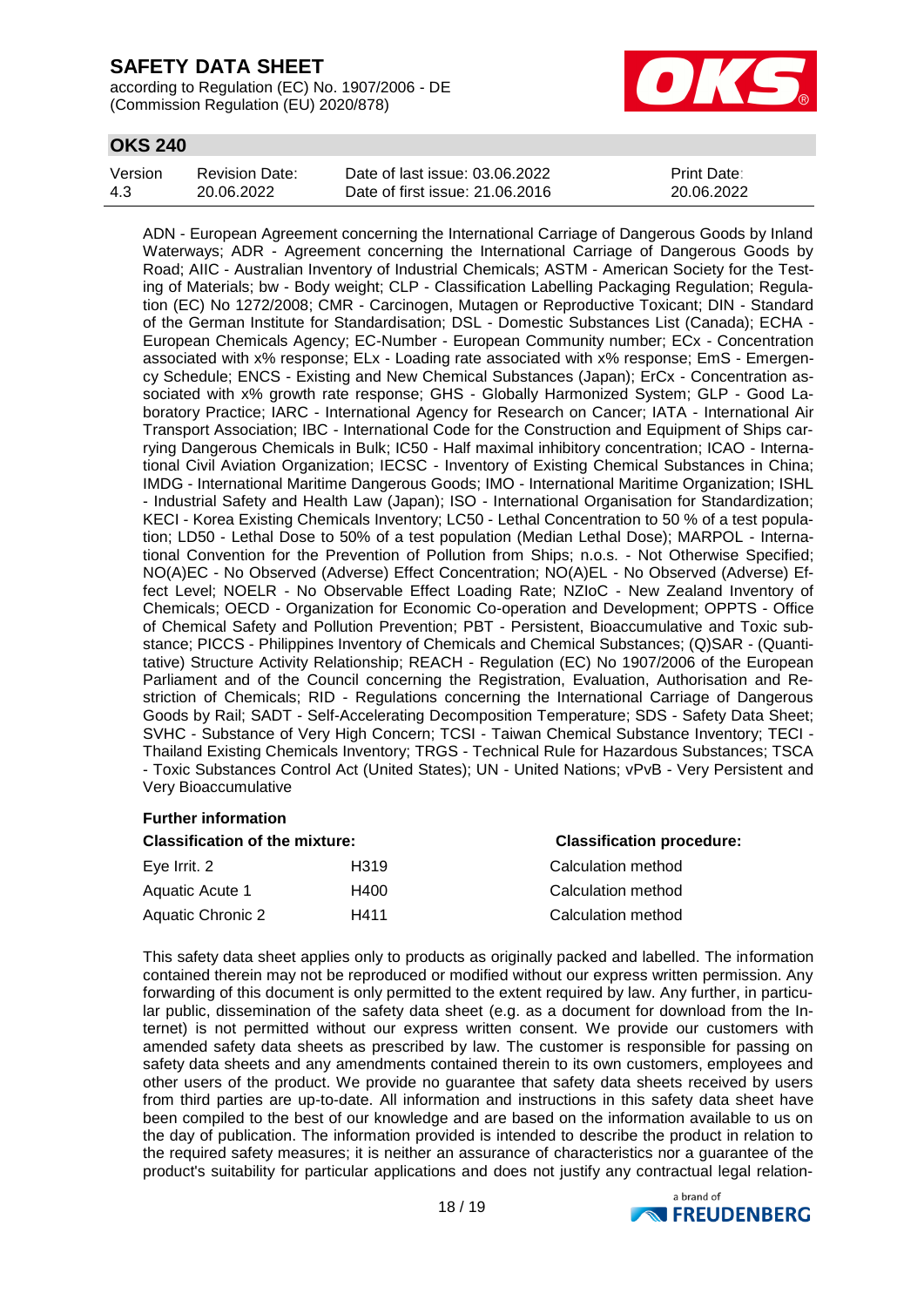according to Regulation (EC) No. 1907/2006 - DE (Commission Regulation (EU) 2020/878)



# **OKS 240**

| Version | <b>Revision Date:</b> | Date of last issue: 03.06.2022  | <b>Print Date:</b> |
|---------|-----------------------|---------------------------------|--------------------|
| 4.3     | 20.06.2022            | Date of first issue: 21,06,2016 | 20.06.2022         |

ADN - European Agreement concerning the International Carriage of Dangerous Goods by Inland Waterways; ADR - Agreement concerning the International Carriage of Dangerous Goods by Road; AIIC - Australian Inventory of Industrial Chemicals; ASTM - American Society for the Testing of Materials; bw - Body weight; CLP - Classification Labelling Packaging Regulation; Regulation (EC) No 1272/2008; CMR - Carcinogen, Mutagen or Reproductive Toxicant; DIN - Standard of the German Institute for Standardisation; DSL - Domestic Substances List (Canada); ECHA - European Chemicals Agency; EC-Number - European Community number; ECx - Concentration associated with x% response; ELx - Loading rate associated with x% response; EmS - Emergency Schedule; ENCS - Existing and New Chemical Substances (Japan); ErCx - Concentration associated with x% growth rate response; GHS - Globally Harmonized System; GLP - Good Laboratory Practice; IARC - International Agency for Research on Cancer; IATA - International Air Transport Association; IBC - International Code for the Construction and Equipment of Ships carrying Dangerous Chemicals in Bulk; IC50 - Half maximal inhibitory concentration; ICAO - International Civil Aviation Organization; IECSC - Inventory of Existing Chemical Substances in China; IMDG - International Maritime Dangerous Goods; IMO - International Maritime Organization; ISHL - Industrial Safety and Health Law (Japan); ISO - International Organisation for Standardization; KECI - Korea Existing Chemicals Inventory; LC50 - Lethal Concentration to 50 % of a test population; LD50 - Lethal Dose to 50% of a test population (Median Lethal Dose); MARPOL - International Convention for the Prevention of Pollution from Ships; n.o.s. - Not Otherwise Specified; NO(A)EC - No Observed (Adverse) Effect Concentration; NO(A)EL - No Observed (Adverse) Effect Level; NOELR - No Observable Effect Loading Rate; NZIoC - New Zealand Inventory of Chemicals; OECD - Organization for Economic Co-operation and Development; OPPTS - Office of Chemical Safety and Pollution Prevention; PBT - Persistent, Bioaccumulative and Toxic substance; PICCS - Philippines Inventory of Chemicals and Chemical Substances; (Q)SAR - (Quantitative) Structure Activity Relationship; REACH - Regulation (EC) No 1907/2006 of the European Parliament and of the Council concerning the Registration, Evaluation, Authorisation and Restriction of Chemicals; RID - Regulations concerning the International Carriage of Dangerous Goods by Rail; SADT - Self-Accelerating Decomposition Temperature; SDS - Safety Data Sheet; SVHC - Substance of Very High Concern; TCSI - Taiwan Chemical Substance Inventory; TECI - Thailand Existing Chemicals Inventory; TRGS - Technical Rule for Hazardous Substances; TSCA - Toxic Substances Control Act (United States); UN - United Nations; vPvB - Very Persistent and Very Bioaccumulative

#### **Further information**

| <b>Classification of the mixture:</b> | <b>Classification procedure:</b> |                    |
|---------------------------------------|----------------------------------|--------------------|
| Eve Irrit. 2                          | H319                             | Calculation method |
| Aquatic Acute 1                       | H400                             | Calculation method |
| Aquatic Chronic 2                     | H411                             | Calculation method |

This safety data sheet applies only to products as originally packed and labelled. The information contained therein may not be reproduced or modified without our express written permission. Any forwarding of this document is only permitted to the extent required by law. Any further, in particular public, dissemination of the safety data sheet (e.g. as a document for download from the Internet) is not permitted without our express written consent. We provide our customers with amended safety data sheets as prescribed by law. The customer is responsible for passing on safety data sheets and any amendments contained therein to its own customers, employees and other users of the product. We provide no guarantee that safety data sheets received by users from third parties are up-to-date. All information and instructions in this safety data sheet have been compiled to the best of our knowledge and are based on the information available to us on the day of publication. The information provided is intended to describe the product in relation to the required safety measures; it is neither an assurance of characteristics nor a guarantee of the product's suitability for particular applications and does not justify any contractual legal relation-